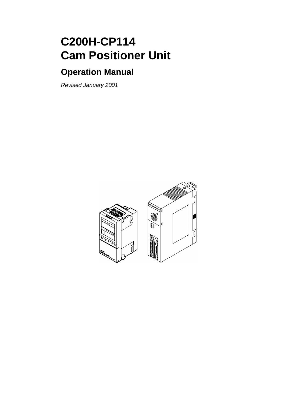# **C200H-CP114 Cam Positioner Unit**

# **Operation Manual**

Revised January 2001

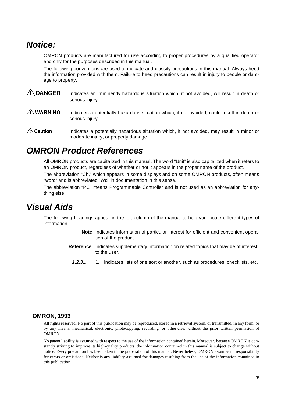# **Notice:**

OMRON products are manufactured for use according to proper procedures by a qualified operator and only for the purposes described in this manual.

The following conventions are used to indicate and classify precautions in this manual. Always heed the information provided with them. Failure to heed precautions can result in injury to people or damage to property.

- **IDANGER** Indicates an imminently hazardous situation which, if not avoided, will result in death or<br>
serious injury.<br> **INVARNING** Indicates a potentially hazardous situation which, if not avoided, could result in death o serious injury.
- $\bigwedge$  WARNING UARNING Indicates a potentially hazardous situation which, if not avoided, could result in death or<br>
serious injury.<br> **aution** Indicates a potentially hazardous situation which, if not avoided, may result in minor or serious injury.
- $\mathbf{r}$  Ca moderate injury, or property damage.

# **OMRON Product References**

All OMRON products are capitalized in this manual. The word "Unit" is also capitalized when it refers to an OMRON product, regardless of whether or not it appears in the proper name of the product. The abbreviation "Ch," which appears in some displays and on some OMRON products, often means "word" and is abbreviated "Wd" in documentation in this sense.

The abbreviation "PC" means Programmable Controller and is not used as an abbreviation for anything else.

# **Visual Aids**

The following headings appear in the left column of the manual to help you locate different types of information.

- **Note** Indicates information of particular interest for efficient and convenient operation of the product.
- **Reference** Indicates supplementary information on related topics that may be of interest to the user.
	- **1,2,3...** 1. Indicates lists of one sort or another, such as procedures, checklists, etc.

#### **OMRON, 1993**

All rights reserved. No part of this publication may be reproduced, stored in a retrieval system, or transmitted, in any form, or by any means, mechanical, electronic, photocopying, recording, or otherwise, without the prior written permission of OMRON.

No patent liability is assumed with respect to the use of the information contained herein. Moreover, because OMRON is constantly striving to improve its high-quality products, the information contained in this manual is subject to change without notice. Every precaution has been taken in the preparation of this manual. Nevertheless, OMRON assumes no responsibility for errors or omissions. Neither is any liability assumed for damages resulting from the use of the information contained in this publication.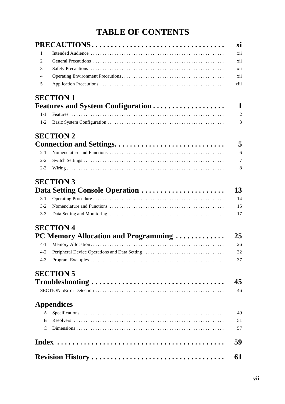# **TABLE OF CONTENTS**

|                | PRECAUTIONS                                   |
|----------------|-----------------------------------------------|
| 1              |                                               |
| 2              |                                               |
| 3              |                                               |
| $\overline{4}$ |                                               |
| 5              |                                               |
|                | <b>SECTION 1</b>                              |
|                | <b>Features and System Configuration </b>     |
| $1 - 1$        |                                               |
| $1-2$          |                                               |
|                | <b>SECTION 2</b>                              |
|                | Connection and Settings                       |
| $2 - 1$        |                                               |
| $2 - 2$        |                                               |
| $2 - 3$        |                                               |
|                | <b>SECTION 3</b>                              |
|                | Data Setting Console Operation                |
| $3-1$          |                                               |
| $3-2$          |                                               |
| $3 - 3$        |                                               |
|                | <b>SECTION 4</b>                              |
|                | PC Memory Allocation and Programming          |
| $4-1$          |                                               |
| $4 - 2$        | Peripheral Device Operations and Data Setting |
| $4 - 3$        |                                               |
|                | <b>SECTION 5</b>                              |
|                | Troubleshooting                               |
|                |                                               |
|                | <b>Appendices</b>                             |
| A              |                                               |
| B.             |                                               |
| C              |                                               |
|                |                                               |
|                | <b>Revision History </b>                      |
|                |                                               |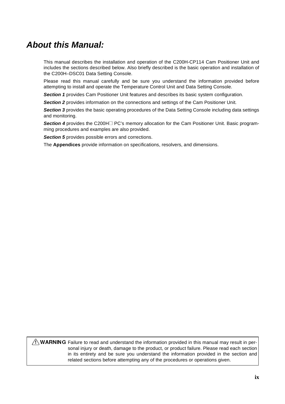# **About this Manual:**

This manual describes the installation and operation of the C200H-CP114 Cam Positioner Unit and includes the sections described below. Also briefly described is the basic operation and installation of the C200H–DSC01 Data Setting Console.

Please read this manual carefully and be sure you understand the information provided before attempting to install and operate the Temperature Control Unit and Data Setting Console.

**Section 1** provides Cam Positioner Unit features and describes its basic system configuration.

**Section 2** provides information on the connections and settings of the Cam Positioner Unit.

**Section 3** provides the basic operating procedures of the Data Setting Console including data settings and monitoring.

**Section 4** provides the C200H□ PC's memory allocation for the Cam Positioner Unit. Basic programming procedures and examples are also provided.

**Section 5** provides possible errors and corrections.

The **Appendices** provide information on specifications, resolvers, and dimensions.

ARNING Failure to read and understand the information provided in this manual may result in personal injury or death, damage to the product, or product failure. Please read each section in its entirety and be sure you unde sonal injury or death, damage to the product, or product failure. Please read each section in its entirety and be sure you understand the information provided in the section and related sections before attempting any of the procedures or operations given.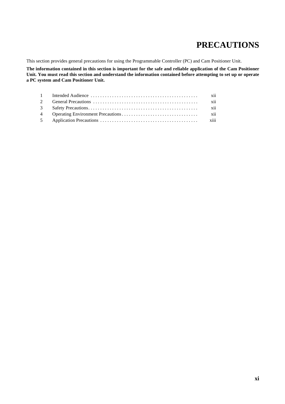# **PRECAUTIONS**

This section provides general precautions for using the Programmable Controller (PC) and Cam Positioner Unit.

**The information contained in this section is important for the safe and reliable application of the Cam Positioner Unit. You must read this section and understand the information contained before attempting to set up or operate a PC system and Cam Positioner Unit.**

|  | xii |
|--|-----|
|  | xii |
|  | xii |
|  |     |
|  |     |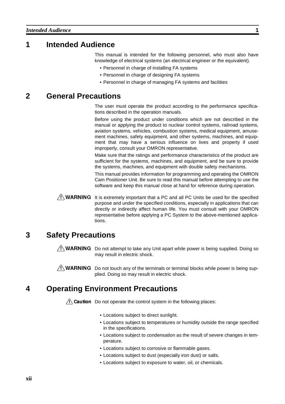## **1 Intended Audience**

This manual is intended for the following personnel, who must also have knowledge of electrical systems (an electrical engineer or the equivalent).

- Personnel in charge of installing FA systems
- Personnel in charge of designing FA systems
- Personnel in charge of managing FA systems and facilities

## **2 General Precautions**

The user must operate the product according to the performance specifications described in the operation manuals.

Before using the product under conditions which are not described in the manual or applying the product to nuclear control systems, railroad systems, aviation systems, vehicles, combustion systems, medical equipment, amusement machines, safety equipment, and other systems, machines, and equipment that may have a serious influence on lives and property if used improperly, consult your OMRON representative.

Make sure that the ratings and performance characteristics of the product are sufficient for the systems, machines, and equipment, and be sure to provide the systems, machines, and equipment with double safety mechanisms.

This manual provides information for programming and operating the OMRON Cam Positioner Unit. Be sure to read this manual before attempting to use the software and keep this manual close at hand for reference during operation.

**ARNING** It is extremely important that a PC and all PC Units be used for the specified purpose and under the specified conditions, especially in applications that can directly or indirectly affect human life. You must con purpose and under the specified conditions, especially in applications that can directly or indirectly affect human life. You must consult with your OMRON representative before applying a PC System to the above-mentioned applications.

# **3 Safety Precautions**

 $\sqrt{N}$  WARNING Do not attempt to take any Unit apart while power is being supplied. Doing so may result in electric shock.

 $\hat{P}$  WARNING Do not touch any of the terminals or terminal blocks while power is being supplied. Doing so may result in electric shock.<br>
Arating Environment Precautions plied. Doing so may result in electric shock.

# -**4 Operating Environment Precautions**

 $\overline{\Delta}$  Caution Do not operate the control system in the following places:

- Locations subject to direct sunlight.
- Locations subject to temperatures or humidity outside the range specified in the specifications.
- Locations subject to condensation as the result of severe changes in temperature.
- Locations subject to corrosive or flammable gases.
- Locations subject to dust (especially iron dust) or salts.
- Locations subject to exposure to water, oil, or chemicals.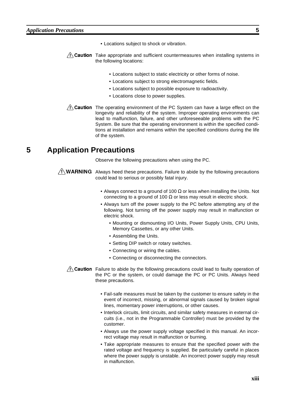- Locations subject to shock or vibration.
- $\frac{1}{1}$ Caution Take appropriate and sufficient countermeasures when installing systems in the following locations:
	- Locations subject to static electricity or other forms of noise.
	- Locations subject to strong electromagnetic fields.
	- Locations subject to possible exposure to radioactivity.
	- Locations close to power supplies.
- $\frac{f}{f}$ Caution The operating environment of the PC System can have a large effect on the longevity and reliability of the system. Improper operating environments can lead to malfunction, failure, and other unforeseeable problems with the PC System. Be sure that the operating environment is within the specified conditions at installation and remains within the specified conditions during the life of the system.

## **5 Application Precautions**

Observe the following precautions when using the PC.

- $\sqrt{N}$  WARNING Always heed these precautions. Failure to abide by the following precautions could lead to serious or possibly fatal injury.
	- Always connect to a ground of 100  $\Omega$  or less when installing the Units. Not connecting to a ground of 100  $\Omega$  or less may result in electric shock.
	- Always turn off the power supply to the PC before attempting any of the following. Not turning off the power supply may result in malfunction or electric shock.
		- Mounting or dismounting I/O Units, Power Supply Units, CPU Units, Memory Cassettes, or any other Units.
		- Assembling the Units.
		- Setting DIP switch or rotary switches.
		- Connecting or wiring the cables.
		- Connecting or disconnecting the connectors.

 $\frac{1}{1}$ Caution Failure to abide by the following precautions could lead to faulty operation of the PC or the system, or could damage the PC or PC Units. Always heed these precautions.

- Fail-safe measures must be taken by the customer to ensure safety in the event of incorrect, missing, or abnormal signals caused by broken signal lines, momentary power interruptions, or other causes.
- Interlock circuits, limit circuits, and similar safety measures in external circuits (i.e., not in the Programmable Controller) must be provided by the customer.
- Always use the power supply voltage specified in this manual. An incorrect voltage may result in malfunction or burning.
- Take appropriate measures to ensure that the specified power with the rated voltage and frequency is supplied. Be particularly careful in places where the power supply is unstable. An incorrect power supply may result in malfunction.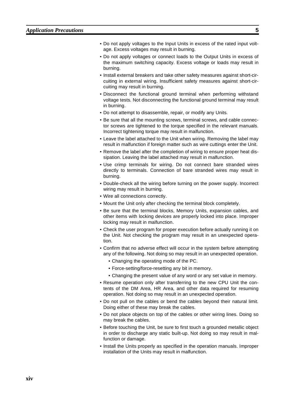- Do not apply voltages to the Input Units in excess of the rated input voltage. Excess voltages may result in burning.
- Do not apply voltages or connect loads to the Output Units in excess of the maximum switching capacity. Excess voltage or loads may result in burning.
- Install external breakers and take other safety measures against short-circuiting in external wiring. Insufficient safety measures against short-circuiting may result in burning.
- Disconnect the functional ground terminal when performing withstand voltage tests. Not disconnecting the functional ground terminal may result in burning.
- Do not attempt to disassemble, repair, or modify any Units.
- Be sure that all the mounting screws, terminal screws, and cable connector screws are tightened to the torque specified in the relevant manuals. Incorrect tightening torque may result in malfunction.
- Leave the label attached to the Unit when wiring. Removing the label may result in malfunction if foreign matter such as wire cuttings enter the Unit.
- Remove the label after the completion of wiring to ensure proper heat dissipation. Leaving the label attached may result in malfunction.
- Use crimp terminals for wiring. Do not connect bare stranded wires directly to terminals. Connection of bare stranded wires may result in burning.
- Double-check all the wiring before turning on the power supply. Incorrect wiring may result in burning.
- Wire all connections correctly.
- Mount the Unit only after checking the terminal block completely.
- Be sure that the terminal blocks, Memory Units, expansion cables, and other items with locking devices are properly locked into place. Improper locking may result in malfunction.
- Check the user program for proper execution before actually running it on the Unit. Not checking the program may result in an unexpected operation.
- Confirm that no adverse effect will occur in the system before attempting any of the following. Not doing so may result in an unexpected operation.
	- Changing the operating mode of the PC.
	- Force-setting/force-resetting any bit in memory.
	- Changing the present value of any word or any set value in memory.
- Resume operation only after transferring to the new CPU Unit the contents of the DM Area, HR Area, and other data required for resuming operation. Not doing so may result in an unexpected operation.
- Do not pull on the cables or bend the cables beyond their natural limit. Doing either of these may break the cables.
- Do not place objects on top of the cables or other wiring lines. Doing so may break the cables.
- Before touching the Unit, be sure to first touch a grounded metallic object in order to discharge any static built-up. Not doing so may result in malfunction or damage.
- Install the Units properly as specified in the operation manuals. Improper installation of the Units may result in malfunction.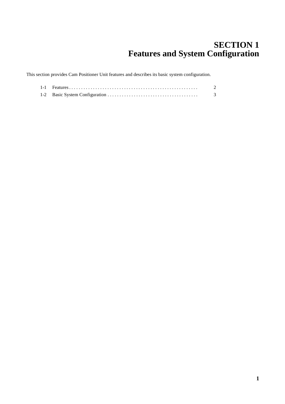# **SECTION 1 Features and System Configuration**

This section provides Cam Positioner Unit features and describes its basic system configuration.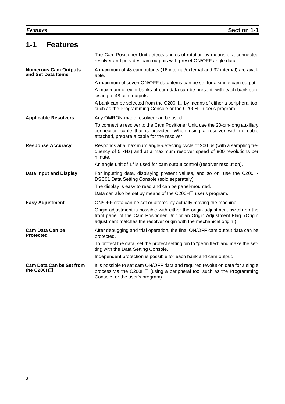| 1-1<br><b>Features</b>                              |                                                                                                                                                                                                                                      |
|-----------------------------------------------------|--------------------------------------------------------------------------------------------------------------------------------------------------------------------------------------------------------------------------------------|
|                                                     | The Cam Positioner Unit detects angles of rotation by means of a connected<br>resolver and provides cam outputs with preset ON/OFF angle data.                                                                                       |
| <b>Numerous Cam Outputs</b><br>and Set Data Items   | A maximum of 48 cam outputs (16 internal/external and 32 internal) are avail-<br>able.                                                                                                                                               |
|                                                     | A maximum of seven ON/OFF data items can be set for a single cam output.<br>A maximum of eight banks of cam data can be present, with each bank con-<br>sisting of 48 cam outputs.                                                   |
|                                                     | A bank can be selected from the C200H $\Box$ by means of either a peripheral tool<br>such as the Programming Console or the C200H□ user's program.                                                                                   |
| <b>Applicable Resolvers</b>                         | Any OMRON-made resolver can be used.                                                                                                                                                                                                 |
|                                                     | To connect a resolver to the Cam Positioner Unit, use the 20-cm-long auxiliary<br>connection cable that is provided. When using a resolver with no cable<br>attached, prepare a cable for the resolver.                              |
| <b>Response Accuracy</b>                            | Responds at a maximum angle-detecting cycle of 200 us (with a sampling fre-<br>quency of 5 kHz) and at a maximum resolver speed of 800 revolutions per<br>minute.                                                                    |
|                                                     | An angle unit of $1^\circ$ is used for cam output control (resolver resolution).                                                                                                                                                     |
| <b>Data Input and Display</b>                       | For inputting data, displaying present values, and so on, use the C200H-<br>DSC01 Data Setting Console (sold separately).                                                                                                            |
|                                                     | The display is easy to read and can be panel-mounted.                                                                                                                                                                                |
|                                                     | Data can also be set by means of the C200H□ user's program.                                                                                                                                                                          |
| <b>Easy Adjustment</b>                              | ON/OFF data can be set or altered by actually moving the machine.                                                                                                                                                                    |
|                                                     | Origin adjustment is possible with either the origin adjustment switch on the<br>front panel of the Cam Positioner Unit or an Origin Adjustment Flag. (Origin<br>adjustment matches the resolver origin with the mechanical origin.) |
| Cam Data Can be<br><b>Protected</b>                 | After debugging and trial operation, the final ON/OFF cam output data can be<br>protected.                                                                                                                                           |
|                                                     | To protect the data, set the protect setting pin to "permitted" and make the set-<br>ting with the Data Setting Console.                                                                                                             |
|                                                     | Independent protection is possible for each bank and cam output.                                                                                                                                                                     |
| <b>Cam Data Can be Set from</b><br>the C200H $\Box$ | It is possible to set cam ON/OFF data and required revolution data for a single<br>process via the C200H□ (using a peripheral tool such as the Programming<br>Console, or the user's program).                                       |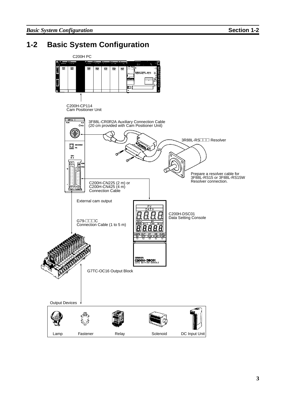# **1-2 Basic System Configuration**

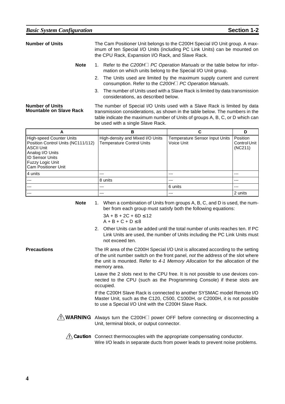| <b>Number of Units</b>                                   |             |  | The Cam Positioner Unit belongs to the C200H Special I/O Unit group. A max-<br>imum of ten Special I/O Units (including PC Link Units) can be mounted on  |
|----------------------------------------------------------|-------------|--|-----------------------------------------------------------------------------------------------------------------------------------------------------------|
|                                                          |             |  | the CPU Rack, Expansion I/O Rack, and Slave Rack.                                                                                                         |
|                                                          | <b>Note</b> |  | 1. Refer to the C200H□ PC Operation Manuals or the table below for infor-<br>mation on which units belong to the Special I/O Unit group.                  |
|                                                          |             |  | 2. The Units used are limited by the maximum supply current and current<br>consumption. Refer to the C200H□ PC Operation Manuals.                         |
|                                                          |             |  | 3. The number of Units used with a Slave Rack is limited by data transmission<br>considerations, as described below.                                      |
| <b>Number of Units</b><br><b>Mountable on Slave Rack</b> |             |  | The number of Special I/O Units used with a Slave Rack is limited by data<br>transmission considerations, as shown in the table below. The numbers in the |

table indicate the maximum number of Units of groups A, B, C, or D which can be used with a single Slave Rack. **A B CD** High-speed Counter Units Position Control Units (NC111/112) ASCII Unit Analog I/O Units ID Sensor Units Fuzzy Logic Unit Cam Positioner Unit High-density and Mixed I/O Units Temperature Control Units Temperature Sensor Input Units Voice Unit Position Control Unit (NC211)

| <b>Note</b> | 1. When a combination of Units from groups A, B, C, and D is used, the num- |
|-------------|-----------------------------------------------------------------------------|
|             | ber from each group must satisfy both the following equations:              |

 $3A + B + 2C + 6D \le 12$  $A + B + C + D \leq 8$ 

4 units --- --- --- --- 8 units --- --- --- --- 6 units --- --- --- --- 2 units

> 2. Other Units can be added until the total number of units reaches ten. If PC Link Units are used, the number of Units including the PC Link Units must not exceed ten.

**Precautions** The IR area of the C200H Special I/O Unit is allocated according to the setting of the unit number switch on the front panel, not the address of the slot where the unit is mounted. Refer to 4-1 Memory Allocation for the allocation of the memory area.

> Leave the 2 slots next to the CPU free. It is not possible to use devices connected to the CPU (such as the Programming Console) if these slots are occupied.

> If the C200H Slave Rack is connected to another SYSMAC model Remote I/O Master Unit, such as the C120, C500, C1000H, or C2000H, it is not possible to use a Special I/O Unit with the C200H Slave Rack.

- $\frac{1}{N}$  WARNING Always turn the C200H $\Box$  power OFF before connecting or disconnecting a<br>Unit, terminal block, or output connector.<br> $\Box$  Caution Connect thermocouples with the appropriate compensating conductor. Unit, terminal block, or output connector.
	- Wire I/O leads in separate ducts from power leads to prevent noise problems.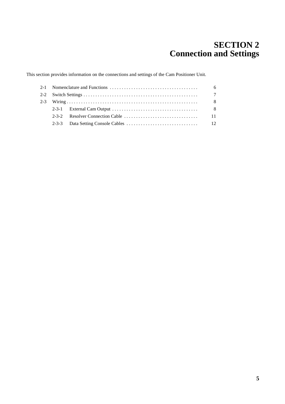# **SECTION 2 Connection and Settings**

This section provides information on the connections and settings of the Cam Positioner Unit.

|  |                                                                                                   | 6              |
|--|---------------------------------------------------------------------------------------------------|----------------|
|  |                                                                                                   | $\overline{7}$ |
|  |                                                                                                   | - 8            |
|  | 2-3-1 External Cam Output $\ldots \ldots \ldots \ldots \ldots \ldots \ldots \ldots \ldots \ldots$ | - 8            |
|  |                                                                                                   | 11             |
|  |                                                                                                   |                |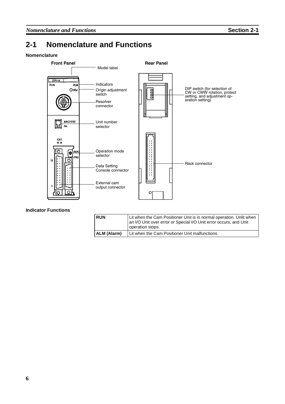# **2-1 Nomenclature and Functions**

#### **Nomenclature**



#### **Indicator Functions**

| <b>RUN</b>  | Lit when the Cam Positioner Unit is in normal operation. Unlit when<br>an I/O Unit over error or Special I/O Unit error occurs, and Unit<br>operation stops. |
|-------------|--------------------------------------------------------------------------------------------------------------------------------------------------------------|
| ALM (Alarm) | Lit when the Cam Positioner Unit malfunctions.                                                                                                               |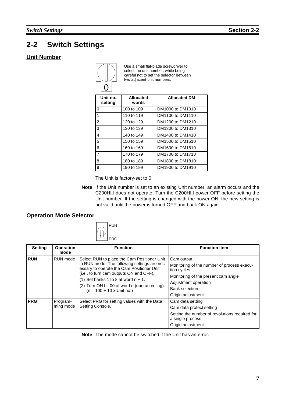# **2-2 Switch Settings**

### **Unit Number**



Use a small flat-blade screwdriver to select the unit number, while being careful not to set the selector between two adjacent unit numbers.

| Unit no.<br>setting | <b>Allocated</b><br>words | <b>Allocated DM</b> |
|---------------------|---------------------------|---------------------|
| $\Omega$            | 100 to 109                | DM1000 to DM1010    |
| $\mathbf{1}$        | 110 to 119                | DM1100 to DM1110    |
| 2                   | 120 to 129                | DM1200 to DM1210    |
| 3                   | 130 to 139                | DM1300 to DM1310    |
| 4                   | 140 to 149                | DM1400 to DM1410    |
| 5                   | 150 to 159                | DM1500 to DM1510    |
| 6                   | 160 to 169                | DM1600 to DM1610    |
| $\overline{7}$      | 170 to 179                | DM1700 to DM1710    |
| 8                   | 180 to 189                | DM1800 to DM1810    |
| 9                   | 190 to 199                | DM1900 to DM1910    |

The Unit is factory-set to 0.

**Note** If the Unit number is set to an existing Unit number, an alarm occurs and the C200H□ does not operate. Turn the C200H□ power OFF before setting the Unit number. If the setting is changed with the power ON, the new setting is not valid until the power is turned OFF and back ON again.

## **Operation Mode Selector**



| <b>Setting</b> | <b>Operation</b><br>mode | <b>Function</b>                                                                                                                                                                                                                                                                                                     | <b>Function item</b>                                                                                                                                                                 |
|----------------|--------------------------|---------------------------------------------------------------------------------------------------------------------------------------------------------------------------------------------------------------------------------------------------------------------------------------------------------------------|--------------------------------------------------------------------------------------------------------------------------------------------------------------------------------------|
| <b>RUN</b>     | RUN mode                 | Select RUN to place the Cam Positioner Unit<br>in RUN mode. The following settings are nec-<br>essary to operate the Cam Positioner Unit<br>(i.e., to turn cam outputs ON and OFF).<br>(1) Set banks 1 to 8 at word $n + 1$ .<br>(2) Turn ON bit 00 of word n (operation flag).<br>$(n = 100 + 10 \times$ Unit no.) | Cam output<br>Monitoring of the number of process execu-<br>tion cycles<br>Monitoring of the present cam angle<br>Adjustment operation<br><b>Bank selection</b><br>Origin adjustment |
| <b>PRG</b>     | Program-<br>ming mode    | Select PRG for setting values with the Data<br>Setting Console.                                                                                                                                                                                                                                                     | Cam data setting<br>Cam data protect setting<br>Setting the number of revolutions required for<br>a single process<br>Origin adjustment                                              |

**Note** The mode cannot be switched if the Unit has an error.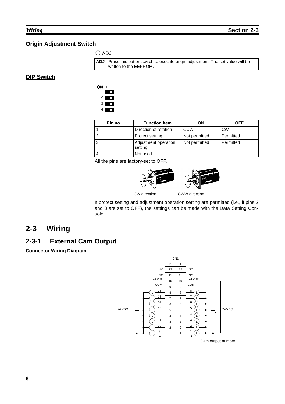## **Origin Adjustment Switch**

## $\bigcirc$  ADJ



### **DIP Switch**



| Pin no. | <b>Function item</b>            | ΟN            | OFF       |
|---------|---------------------------------|---------------|-----------|
|         | Direction of rotation           | CCW           | <b>CW</b> |
|         | Protect setting                 | Not permitted | Permitted |
| 3       | Adjustment operation<br>setting | Not permitted | Permitted |
| 4       | Not used.                       |               |           |

All the pins are factory-set to OFF.





CW direction CWW direction

If protect setting and adjustment operation setting are permitted (i.e., if pins 2 and 3 are set to OFF), the settings can be made with the Data Setting Console.

# **2-3 Wiring**

# **2-3-1 External Cam Output**

**Connector Wiring Diagram**

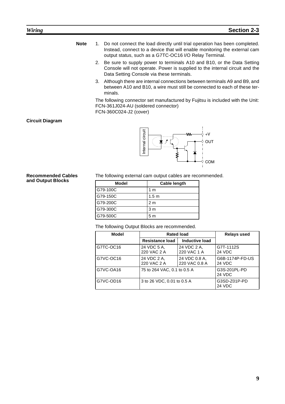- **Note** 1. Do not connect the load directly until trial operation has been completed. Instead, connect to a device that will enable monitoring the external cam output status, such as a G7TC-OC16 I/O Relay Terminal.
	- 2. Be sure to supply power to terminals A10 and B10, or the Data Setting Console will not operate. Power is supplied to the internal circuit and the Data Setting Console via these terminals.
	- 3. Although there are internal connections between terminals A9 and B9, and between A10 and B10, a wire must still be connected to each of these terminals.

The following connector set manufactured by Fujitsu is included with the Unit: FCN-361J024-AU (soldered connector)

FCN-360C024-J2 (cover)

#### **Circuit Diagram**

**Recommended Cables and Output Blocks**



The following external cam output cables are recommended.

| <b>Model</b> | <b>Cable length</b> |
|--------------|---------------------|
| G79-100C     | 1 m                 |
| G79-150C     | 1.5 <sub>m</sub>    |
| G79-200C     | 2 m                 |
| G79-300C     | 3 <sub>m</sub>      |
| G79-500C     | 5 <sub>m</sub>      |

The following Output Blocks are recommended.

| Model     | <b>Rated load</b>           | <b>Relays used</b>             |                                  |
|-----------|-----------------------------|--------------------------------|----------------------------------|
|           | <b>Resistance load</b>      | <b>Inductive load</b>          |                                  |
| G7TC-OC16 | 24 VDC 5 A.<br>220 VAC 2 A  | 24 VDC 2 A,<br>220 VAC 1 A     | G7T-1112S<br>24 VDC              |
| G7VC-OC16 | 24 VDC 2 A,<br>220 VAC 2 A  | 24 VDC 0.8 A.<br>220 VAC 0.8 A | G6B-1174P-FD-US<br><b>24 VDC</b> |
| G7VC-OA16 | 75 to 264 VAC, 0.1 to 0.5 A | G3S-201PL-PD<br>24 VDC         |                                  |
| G7VC-OD16 | 3 to 26 VDC, 0.01 to 0.5 A  | G3SD-Z01P-PD<br>24 VDC         |                                  |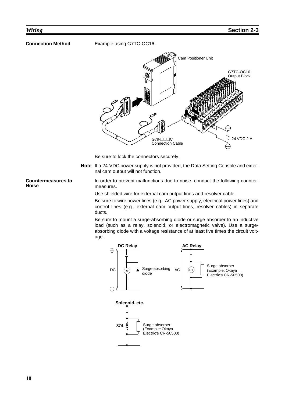**Connection Method** Example using G7TC-OC16.



Be sure to lock the connectors securely.

**Note** If a 24-VDC power supply is not provided, the Data Setting Console and external cam output will not function.

In order to prevent malfunctions due to noise, conduct the following countermeasures.

Use shielded wire for external cam output lines and resolver cable.

Be sure to wire power lines (e.g., AC power supply, electrical power lines) and control lines (e.g., external cam output lines, resolver cables) in separate ducts.

Be sure to mount a surge-absorbing diode or surge absorber to an inductive load (such as a relay, solenoid, or electromagnetic valve). Use a surgeabsorbing diode with a voltage resistance of at least five times the circuit voltage.



#### **Countermeasures to Noise**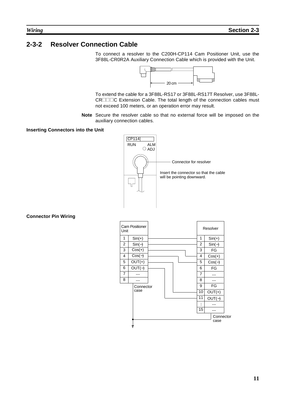## **2-3-2 Resolver Connection Cable**

To connect a resolver to the C200H-CP114 Cam Positioner Unit, use the 3F88L-CR0R2A Auxiliary Connection Cable which is provided with the Unit.



To extend the cable for a 3F88L-RS17 or 3F88L-RS17T Resolver, use 3F88L-CRIIIC Extension Cable. The total length of the connection cables must not exceed 100 meters, or an operation error may result.

**Note** Secure the resolver cable so that no external force will be imposed on the auxiliary connection cables.

#### **Inserting Connectors into the Unit**



**Connector Pin Wiring**

| Unit           | <b>Cam Positioner</b> |  |  |  |    |                |          | Resolver          |  |  |
|----------------|-----------------------|--|--|--|----|----------------|----------|-------------------|--|--|
| 1              | $Sin(+)$              |  |  |  | 1  |                | $Sin(+)$ |                   |  |  |
| $\overline{2}$ | $Sin(-)$              |  |  |  |    | $\overline{2}$ |          | $Sin(-)$          |  |  |
| 3              | $Cos(+)$              |  |  |  |    | 3              |          | FG                |  |  |
| 4              | $Cos(-)$              |  |  |  |    | 4              |          | $Cos(+)$          |  |  |
| 5              | $OUT(+)$              |  |  |  |    | 5              |          | $Cos(-)$          |  |  |
| 6              | $OUT(-)$              |  |  |  |    | 6              |          | FG                |  |  |
| $\overline{7}$ |                       |  |  |  |    | $\overline{7}$ |          |                   |  |  |
| 8              |                       |  |  |  |    | 8              |          |                   |  |  |
|                | Connector             |  |  |  |    | 9              |          | FG                |  |  |
|                | case                  |  |  |  | 10 | $OUT(+)$       |          |                   |  |  |
|                |                       |  |  |  |    | 11             |          | $OUT(-)$          |  |  |
|                |                       |  |  |  |    | i              |          |                   |  |  |
|                |                       |  |  |  |    | 15             |          |                   |  |  |
|                |                       |  |  |  |    |                |          | Connector<br>case |  |  |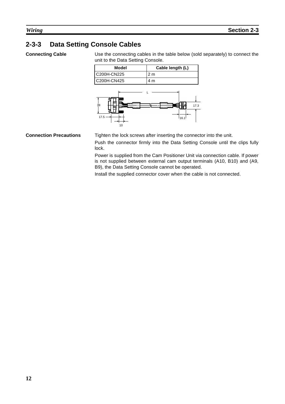# **2-3-3 Data Setting Console Cables**

**Connecting Cable** Use the connecting cables in the table below (sold separately) to connect the unit to the Data Setting Console.





**Connection Precautions** Tighten the lock screws after inserting the connector into the unit. Push the connector firmly into the Data Setting Console until the clips fully lock.

> Power is supplied from the Cam Positioner Unit via connection cable. If power is not supplied between external cam output terminals (A10, B10) and (A9, B9), the Data Setting Console cannot be operated.

Install the supplied connector cover when the cable is not connected.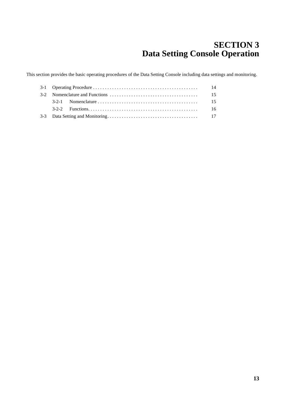# **SECTION 3 Data Setting Console Operation**

This section provides the basic operating procedures of the Data Setting Console including data settings and monitoring.

| -14 |  |     |  |
|-----|--|-----|--|
|     |  | -15 |  |
|     |  | -15 |  |
|     |  | -16 |  |
|     |  |     |  |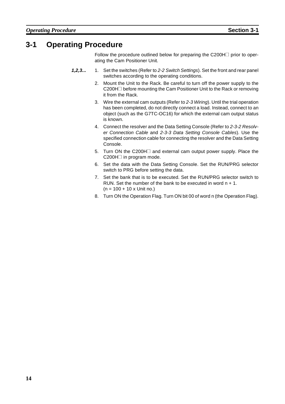# **3-1 Operating Procedure**

Follow the procedure outlined below for preparing the C200H $\Box$  prior to operating the Cam Positioner Unit.

- **1,2,3...** 1. Set the switches (Refer to 2-2 Switch Settings). Set the front and rear panel switches according to the operating conditions.
	- 2. Mount the Unit to the Rack. Be careful to turn off the power supply to the C200H $\Box$  before mounting the Cam Positioner Unit to the Rack or removing it from the Rack.
	- 3. Wire the external cam outputs (Refer to 2-3 Wiring). Until the trial operation has been completed, do not directly connect a load. Instead, connect to an object (such as the G7TC-OC16) for which the external cam output status is known.
	- 4. Connect the resolver and the Data Setting Console (Refer to 2-3-2 Resolver Connection Cable and 2-3-3 Data Setting Console Cables). Use the specified connection cable for connecting the resolver and the Data Setting Console.
	- 5. Turn ON the C200H $\Box$  and external cam output power supply. Place the  $C200H \Box$  in program mode.
	- 6. Set the data with the Data Setting Console. Set the RUN/PRG selector switch to PRG before setting the data.
	- 7. Set the bank that is to be executed. Set the RUN/PRG selector switch to RUN. Set the number of the bank to be executed in word  $n + 1$ .  $(n = 100 + 10 \times$  Unit no.)
	- 8. Turn ON the Operation Flag. Turn ON bit 00 of word n (the Operation Flag).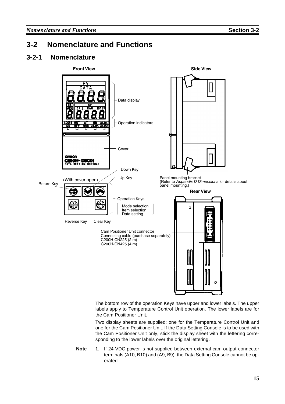# **3-2 Nomenclature and Functions**

## **3-2-1 Nomenclature**



The bottom row of the operation Keys have upper and lower labels. The upper labels apply to Temperature Control Unit operation. The lower labels are for the Cam Positioner Unit.

Two display sheets are supplied: one for the Temperature Control Unit and one for the Cam Positioner Unit. If the Data Setting Console is to be used with the Cam Positioner Unit only, stick the display sheet with the lettering corresponding to the lower labels over the original lettering.

**Note** 1. If 24-VDC power is not supplied between external cam output connector terminals (A10, B10) and (A9, B9), the Data Setting Console cannot be operated.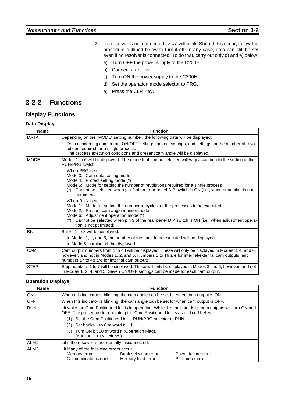- 2. If a resolver is not connected, " $E$   $E$ " will blink. Should this occur, follow the set are considered below to turn it off. In any case, data can still be set procedure outlined below to turn it off. In any case, data can still be set even if no resolver is connected. To do that, carry out only d) and e) below.
	- a) Turn OFF the power supply to the C200H $\Box$ .
	- b) Connect a resolver.
	- c) Turn ON the power supply to the C200H $\Box$ .
	- d) Set the operation mode selector to PRG.
	- e) Press the CLR Key.

## **3-2-2 Functions**

## **Display Functions**

#### **Data Display**

| <b>Name</b> | <b>Function</b>                                                                                                                                                                                                                                                                                                             |  |  |  |  |  |
|-------------|-----------------------------------------------------------------------------------------------------------------------------------------------------------------------------------------------------------------------------------------------------------------------------------------------------------------------------|--|--|--|--|--|
| <b>DATA</b> | Depending on the "MODE" setting number, the following data will be displayed.                                                                                                                                                                                                                                               |  |  |  |  |  |
|             | Data concerning cam output ON/OFF settings, protect settings, and settings for the number of revo-<br>lutions required for a single process.<br>The process execution conditions and present cam angle will be displayed.                                                                                                   |  |  |  |  |  |
| <b>MODE</b> | Modes 1 to 6 will be displayed. The mode that can be selected will vary according to the setting of the<br>RUN/PRG switch.                                                                                                                                                                                                  |  |  |  |  |  |
|             | When PRG is set:<br>Mode 3: Cam data setting mode<br>Mode 4: Protect setting mode (*)<br>Mode 5: Mode for setting the number of revolutions required for a single process<br>Cannot be selected when pin 2 of the rear panel DIP switch is ON (i.e., when protection is not<br>permitted).                                  |  |  |  |  |  |
|             | When RUN is set:<br>Mode 1: Mode for setting the number of cycles for the processes to be executed<br>Mode 2: Present cam angle monitor mode<br>Mode 6: Adjustment operation mode (*)<br>Cannot be selected when pin 3 of the rear panel DIP switch is ON (i.e., when adjustment opera-<br>$(*)$<br>tion is not permitted). |  |  |  |  |  |
| BK          | Banks 1 to 8 will be displayed.                                                                                                                                                                                                                                                                                             |  |  |  |  |  |
|             | In Modes 1, 2, and 6, the number of the bank to be executed will be displayed.                                                                                                                                                                                                                                              |  |  |  |  |  |
|             | In Mode 5, nothing will be displayed.                                                                                                                                                                                                                                                                                       |  |  |  |  |  |
| CAM         | Cam output numbers from 1 to 48 will be displayed. These will only be displayed in Modes 3, 4, and 6,<br>however, and not in Modes 1, 2, and 5. Numbers 1 to 16 are for internal/external cam outputs, and<br>numbers 17 to 48 are for internal cam outputs.                                                                |  |  |  |  |  |
| <b>STEP</b> | Step numbers 1 to 7 will be displayed. These will only be displayed in Modes 3 and 6, however, and not<br>in Modes 1, 2, 4, and 5. Seven ON/OFF settings can be made for each cam output.                                                                                                                                   |  |  |  |  |  |

#### **Operation Displays**

| <b>Name</b>      | <b>Function</b>                                                                                                                                                                                |  |  |  |  |  |  |  |
|------------------|------------------------------------------------------------------------------------------------------------------------------------------------------------------------------------------------|--|--|--|--|--|--|--|
| ON               | When this indicator is blinking, the cam angle can be set for when cam output is ON.                                                                                                           |  |  |  |  |  |  |  |
| <b>OFF</b>       | When this indicator is blinking, the cam angle can be set for when cam output is OFF.                                                                                                          |  |  |  |  |  |  |  |
| <b>RUN</b>       | Lit while the Cam Positioner Unit is in operation. While this indicator is lit, cam outputs will turn ON and<br>OFF. The procedure for operating the Cam Positioner Unit is as outlined below. |  |  |  |  |  |  |  |
|                  | Set the Cam Positioner Unit's RUN/PRG selector to RUN.                                                                                                                                         |  |  |  |  |  |  |  |
|                  | Set banks 1 to 8 at word $n + 1$ .<br>(2)                                                                                                                                                      |  |  |  |  |  |  |  |
|                  | (3) Turn ON bit 00 of word n (Operation Flag).<br>$(n = 100 + 10 \times$ Unit no.)                                                                                                             |  |  |  |  |  |  |  |
| ALM <sub>1</sub> | Lit if the resolver is accidentally disconnected.                                                                                                                                              |  |  |  |  |  |  |  |
| ALM <sub>2</sub> | Lit if any of the following errors occur.<br>Bank selection error<br>Power failure error<br>Memory error<br>Communications error<br>Memory load error<br>Parameter error                       |  |  |  |  |  |  |  |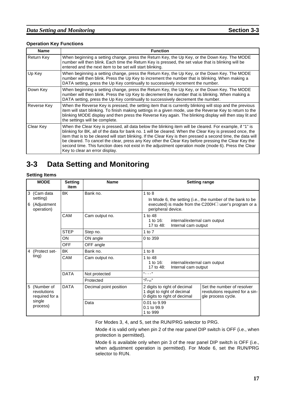### *Data Setting and Monitoring* **Section 3-3**

#### **Operation Key Functions**

| <b>Name</b> | <b>Function</b>                                                                                                                                                                                                                                                                                                                                                                                                                                                                                                                                                                        |
|-------------|----------------------------------------------------------------------------------------------------------------------------------------------------------------------------------------------------------------------------------------------------------------------------------------------------------------------------------------------------------------------------------------------------------------------------------------------------------------------------------------------------------------------------------------------------------------------------------------|
| Return Key  | When beginning a setting change, press the Return Key, the Up Key, or the Down Key. The MODE<br>number will then blink. Each time the Return Key is pressed, the set value that is blinking will be<br>entered and the next item to be set will start blinking.                                                                                                                                                                                                                                                                                                                        |
| Up Key      | When beginning a setting change, press the Return Key, the Up Key, or the Down Key. The MODE<br>number will then blink. Press the Up Key to increment the number that is blinking. When making a<br>DATA setting, press the Up Key continually to successively increment the number.                                                                                                                                                                                                                                                                                                   |
| Down Key    | When beginning a setting change, press the Return Key, the Up Key, or the Down Key. The MODE<br>number will then blink. Press the Up Key to decrement the number that is blinking. When making a<br>DATA setting, press the Up Key continually to successively decrement the number.                                                                                                                                                                                                                                                                                                   |
| Reverse Key | When the Reverse Key is pressed, the setting item that is currently blinking will stop and the previous<br>item will start blinking. To finish making settings in a given mode, use the Reverse Key to return to the<br>blinking MODE display and then press the Reverse Key again. The blinking display will then stay lit and<br>the settings will be complete.                                                                                                                                                                                                                      |
| Clear Key   | When the Clear Key is pressed, all data below the blinking item will be cleared. For example, if "1" is<br>blinking for BK, all of the data for bank no. 1 will be cleared. When the Clear Key is pressed once, the<br>item that is to be cleared will start blinking. If the Clear Key is then pressed a second time, the data will<br>be cleared. To cancel the clear, press any Key other the Clear Key before pressing the Clear Key the<br>second time. This function does not exist in the adjustment operation mode (mode 6). Press the Clear<br>Key to clear an error display. |

# **3-3 Data Setting and Monitoring**

#### **Setting Items**

|        | <b>MODE</b>                                   | <b>Setting</b><br>item | <b>Name</b>                                                                             | <b>Setting range</b>                                                                                                                    |                                                                                     |  |  |  |  |
|--------|-----------------------------------------------|------------------------|-----------------------------------------------------------------------------------------|-----------------------------------------------------------------------------------------------------------------------------------------|-------------------------------------------------------------------------------------|--|--|--|--|
| 3<br>6 | (Cam data<br>setting)<br>(Adjustment          | BK                     | Bank no.                                                                                | $1$ to $8$<br>In Mode 6, the setting (i.e., the number of the bank to be<br>executed) is made from the C200H $\Box$ user's program or a |                                                                                     |  |  |  |  |
|        | operation)                                    |                        |                                                                                         | peripheral device.                                                                                                                      |                                                                                     |  |  |  |  |
|        | CAM<br>Cam output no.                         |                        | 1 to 48<br>1 to 16:<br>internal/external cam output<br>17 to 48:<br>Internal cam output |                                                                                                                                         |                                                                                     |  |  |  |  |
|        |                                               | <b>STEP</b>            | Step no.                                                                                | 1 to $7$                                                                                                                                |                                                                                     |  |  |  |  |
|        |                                               | ON                     | ON angle                                                                                | 0 to 359                                                                                                                                |                                                                                     |  |  |  |  |
|        |                                               | <b>OFF</b>             | OFF angle                                                                               |                                                                                                                                         |                                                                                     |  |  |  |  |
| 4      | (Protect set-                                 | BK                     | Bank no.                                                                                | $1$ to $8$                                                                                                                              |                                                                                     |  |  |  |  |
|        | ting)                                         | CAM                    | Cam output no.                                                                          | 1 to 48<br>1 to $16$ :<br>internal/external cam output<br>17 to 48:<br>Internal cam output                                              |                                                                                     |  |  |  |  |
|        |                                               | <b>DATA</b>            | Not protected                                                                           |                                                                                                                                         |                                                                                     |  |  |  |  |
|        |                                               |                        | Protected                                                                               | $"P_{r\sigma}"$                                                                                                                         |                                                                                     |  |  |  |  |
|        | 5 (Number of<br>revolutions<br>required for a | <b>DATA</b>            | Decimal point position                                                                  | 2 digits to right of decimal<br>1 digit to right of decimal<br>0 digits to right of decimal                                             | Set the number of resolver<br>revolutions required for a sin-<br>gle process cycle. |  |  |  |  |
|        | single<br>process)                            |                        | Data                                                                                    | 0.01 to 9.99<br>0.1 to 99.9<br>1 to 999                                                                                                 |                                                                                     |  |  |  |  |

For Modes 3, 4, and 5, set the RUN/PRG selector to PRG.

Mode 4 is valid only when pin 2 of the rear panel DIP switch is OFF (i.e., when protection is permitted).

Mode 6 is available only when pin 3 of the rear panel DIP switch is OFF (i.e., when adjustment operation is permitted). For Mode 6, set the RUN/PRG selector to RUN.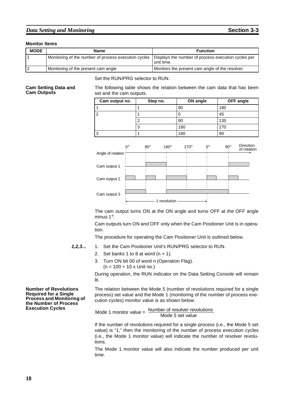### *Data Setting and Monitoring* **Section 3-3**

#### **Monitor Items**

| <b>MODE</b> | Name                                                 | <b>Function</b>                                                   |  |  |
|-------------|------------------------------------------------------|-------------------------------------------------------------------|--|--|
|             | Monitoring of the number of process execution cycles | Displays the number of process execution cycles per<br>unit time. |  |  |
|             | Monitoring of the present cam angle                  | Monitors the present cam angle of the resolver.                   |  |  |

Set the RUN/PRG selector to RUN.

#### **Cam Setting Data and Cam Outputs**

The following table shows the relation between the cam data that has been set and the cam outputs.

| Cam output no. | Step no. | <b>ON angle</b> | <b>OFF</b> angle |
|----------------|----------|-----------------|------------------|
|                |          | 90              | 180              |
| $\overline{2}$ |          | U               | 45               |
|                |          | 90              | 135              |
|                |          | 180             | 270              |
| 3              |          | 180             | 90               |



The cam output turns ON at the ON angle and turns OFF at the OFF angle minus 1°.

Cam outputs turn ON and OFF only when the Cam Positioner Unit is in operation.

The procedure for operating the Cam Positioner Unit is outlined below.

- **1,2,3...** 1. Set the Cam Positioner Unit's RUN/PRG selector to RUN.
	- 2. Set banks 1 to 8 at word  $(n + 1)$ .
	- 3. Turn ON bit 00 of word n (Operation Flag).  $(n = 100 + 10 \times$  Unit no.)

During operation, the RUN indicator on the Data Setting Console will remain lit.

**Number of Revolutions Required for a Single Process and Monitoring of the Number of Process Execution Cycles**

The relation between the Mode 5 (number of revolutions required for a single process) set value and the Mode 1 (monitoring of the number of process execution cycles) monitor value is as shown below.

Mode 1 monitor value =  $\frac{\text{Number of resolver revolutions}}{\text{Number of } = \frac{1}{\sqrt{1-\frac{1}{n}}}$ Mode 5 set value

If the number of revolutions required for a single process (i.e., the Mode 5 set value) is "1," then the monitoring of the number of process execution cycles (i.e., the Mode 1 monitor value) will indicate the number of resolver revolutions.

The Mode 1 monitor value will also indicate the number produced per unit time.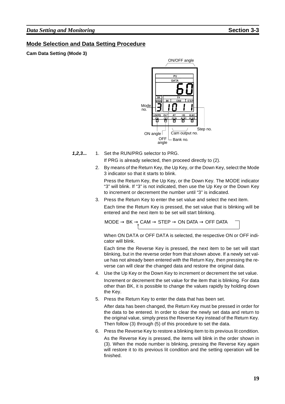## **Mode Selection and Data Setting Procedure**

**Cam Data Setting (Mode 3)**



**1,2,3...** 1. Set the RUN/PRG selector to PRG.

If PRG is already selected, then proceed directly to (2).

2. By means of the Return Key, the Up Key, or the Down Key, select the Mode 3 indicator so that it starts to blink.

Press the Return Key, the Up Key, or the Down Key. The MODE indicator "3" will blink. If "3" is not indicated, then use the Up Key or the Down Key to increment or decrement the number until "3" is indicated.

3. Press the Return Key to enter the set value and select the next item.

Each time the Return Key is pressed, the set value that is blinking will be entered and the next item to be set will start blinking.

$$
\text{MODE} \to \text{BK} \to \text{CAM} \to \text{STEP} \to \text{ON DATA} \to \text{OFF DATA}
$$

When ON DATA or OFF DATA is selected, the respective ON or OFF indicator will blink.

Each time the Reverse Key is pressed, the next item to be set will start blinking, but in the reverse order from that shown above. If a newly set value has not already been entered with the Return Key, then pressing the reverse can will clear the changed data and restore the original data.

- 4. Use the Up Key or the Down Key to increment or decrement the set value. Increment or decrement the set value for the item that is blinking. For data other than BK, it is possible to change the values rapidly by holding down the Key.
- 5. Press the Return Key to enter the data that has been set.

After data has been changed, the Return Key must be pressed in order for the data to be entered. In order to clear the newly set data and return to the original value, simply press the Reverse Key instead of the Return Key. Then follow (3) through (5) of this procedure to set the data.

6. Press the Reverse Key to restore a blinking item to its previous lit condition. As the Reverse Key is pressed, the items will blink in the order shown in (3). When the mode number is blinking, pressing the Reverse Key again will restore it to its previous lit condition and the setting operation will be finished.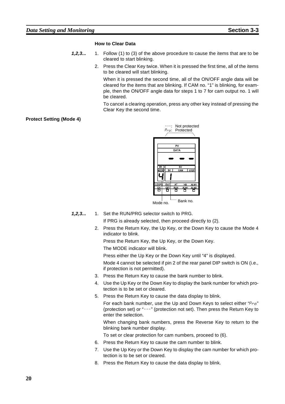#### **How to Clear Data**

- **1,2,3...** 1. Follow (1) to (3) of the above procedure to cause the items that are to be cleared to start blinking.
	- 2. Press the Clear Key twice. When it is pressed the first time, all of the items to be cleared will start blinking.

When it is pressed the second time, all of the ON/OFF angle data will be cleared for the items that are blinking. If CAM no. "1" is blinking, for example, then the ON/OFF angle data for steps 1 to 7 for cam output no. 1 will be cleared.

To cancel a clearing operation, press any other key instead of pressing the Clear Key the second time.

#### **Protect Setting (Mode 4)**



**1,2,3...** 1. Set the RUN/PRG selector switch to PRG.

If PRG is already selected, then proceed directly to (2).

2. Press the Return Key, the Up Key, or the Down Key to cause the Mode 4 indicator to blink.

Press the Return Key, the Up Key, or the Down Key.

The MODE indicator will blink.

Press either the Up Key or the Down Key until "4" is displayed.

Mode 4 cannot be selected if pin 2 of the rear panel DIP switch is ON (i.e., if protection is not permitted).

- 3. Press the Return Key to cause the bank number to blink.
- 4. Use the Up Key or the Down Key to display the bank number for which protection is to be set or cleared.
- 5. Press the Return Key to cause the data display to blink.

For each bank number, use the Up and Down Keys to select either " $P_{r0}$ " (protection set) or "---" (protection not set). Then press the Return Key to enter the selection.

When changing bank numbers, press the Reverse Key to return to the blinking bank number display.

- To set or clear protection for cam numbers, proceed to (6).
- 6. Press the Return Key to cause the cam number to blink.
- 7. Use the Up Key or the Down Key to display the cam number for which protection is to be set or cleared.
- 8. Press the Return Key to cause the data display to blink.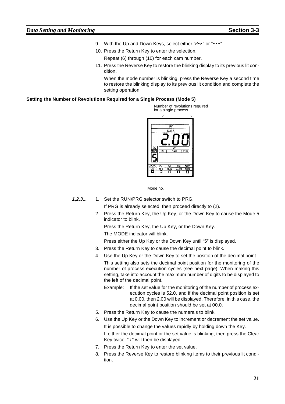- 9. With the Up and Down Keys, select either " $P_{r,0}$ " or "---".
- 10. Press the Return Key to enter the selection. Repeat (6) through (10) for each cam number.
- 11. Press the Reverse Key to restore the blinking display to its previous lit condition.

When the mode number is blinking, press the Reverse Key a second time to restore the blinking display to its previous lit condition and complete the setting operation.

#### **Setting the Number of Revolutions Required for a Single Process (Mode 5)**



Mode no.

- **1,2,3...** 1. Set the RUN/PRG selector switch to PRG. If PRG is already selected, then proceed directly to (2).
	- 2. Press the Return Key, the Up Key, or the Down Key to cause the Mode 5 indicator to blink.

Press the Return Key, the Up Key, or the Down Key. The MODE indicator will blink.

Press either the Up Key or the Down Key until "5" is displayed.

- 3. Press the Return Key to cause the decimal point to blink.
- 4. Use the Up Key or the Down Key to set the position of the decimal point.

This setting also sets the decimal point position for the monitoring of the number of process execution cycles (see next page). When making this setting, take into account the maximum number of digits to be displayed to the left of the decimal point.

- Example: If the set value for the monitoring of the number of process execution cycles is 52.0, and if the decimal point position is set at 0.00, then 2.00 will be displayed. Therefore, in this case, the decimal point position should be set at 00.0.
- 5. Press the Return Key to cause the numerals to blink.
- 6. Use the Up Key or the Down Key to increment or decrement the set value. It is possible to change the values rapidly by holding down the Key. If either the decimal point or the set value is blinking, then press the Clear Key twice. " / " will then be displayed.
- 7. Press the Return Key to enter the set value.
- 8. Press the Reverse Key to restore blinking items to their previous lit condition.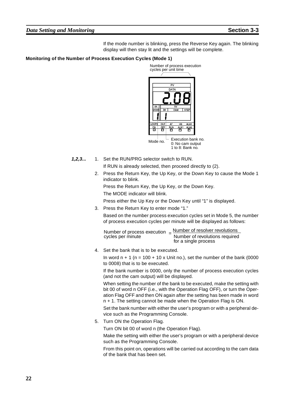#### *Data Setting and Monitoring* **Section 3-3**

If the mode number is blinking, press the Reverse Key again. The blinking display will then stay lit and the settings will be complete.

#### **Monitoring of the Number of Process Execution Cycles (Mode 1)**



0: No cam output 1 to 8: Bank no.

**1,2,3...** 1. Set the RUN/PRG selector switch to RUN.

If RUN is already selected, then proceed directly to (2).

2. Press the Return Key, the Up Key, or the Down Key to cause the Mode 1 indicator to blink.

Press the Return Key, the Up Key, or the Down Key.

The MODE indicator will blink.

Press either the Up Key or the Down Key until "1" is displayed.

3. Press the Return Key to enter mode "1."

Based on the number process execution cycles set in Mode 5, the number of process execution cycles per minute will be displayed as follows:

Number of process execution  $=$   $\frac{\text{Number of resolver revolutions}}{\text{Number of revolutions}}$ cycles per minute Number of revolutions required for a single process

4. Set the bank that is to be executed.

In word  $n + 1$  ( $n = 100 + 10x$  Unit no.), set the number of the bank (0000 to 0008) that is to be executed.

If the bank number is 0000, only the number of process execution cycles (and not the cam output) will be displayed.

When setting the number of the bank to be executed, make the setting with bit 00 of word n OFF (i.e., with the Operation Flag OFF), or turn the Operation Flag OFF and then ON again after the setting has been made in word n + 1. The setting cannot be made when the Operation Flag is ON.

Set the bank number with either the user's program or with a peripheral device such as the Programming Console.

5. Turn ON the Operation Flag.

Turn ON bit 00 of word n (the Operation Flag).

Make the setting with either the user's program or with a peripheral device such as the Programming Console.

From this point on, operations will be carried out according to the cam data of the bank that has been set.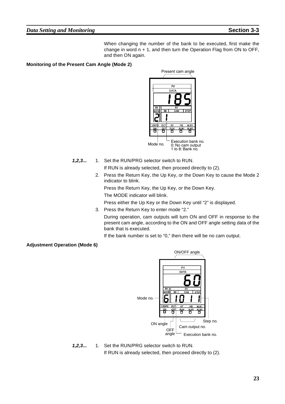### *Data Setting and Monitoring* **Section 3-3**

When changing the number of the bank to be executed, first make the change in word n + 1, and then turn the Operation Flag from ON to OFF, and then ON again.

### **Monitoring of the Present Cam Angle (Mode 2)**



**1,2,3...** 1. Set the RUN/PRG selector switch to RUN.

If RUN is already selected, then proceed directly to (2).

2. Press the Return Key, the Up Key, or the Down Key to cause the Mode 2 indicator to blink.

Press the Return Key, the Up Key, or the Down Key.

The MODE indicator will blink.

Press either the Up Key or the Down Key until "2" is displayed.

3. Press the Return Key to enter mode "2."

During operation, cam outputs will turn ON and OFF in response to the present cam angle, according to the ON and OFF angle setting data of the bank that is executed.

If the bank number is set to "0," then there will be no cam output.

### **Adjustment Operation (Mode 6)**



**1,2,3...** 1. Set the RUN/PRG selector switch to RUN. If RUN is already selected, then proceed directly to (2).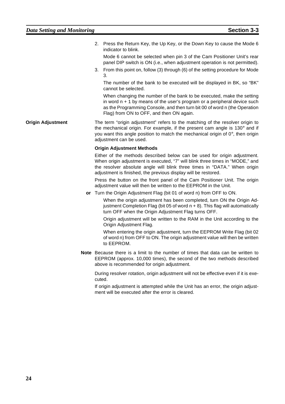2. Press the Return Key, the Up Key, or the Down Key to cause the Mode 6 indicator to blink.

Mode 6 cannot be selected when pin 3 of the Cam Positioner Unit's rear panel DIP switch is ON (i.e., when adjustment operation is not permitted).

3. From this point on, follow (3) through (6) of the setting procedure for Mode 3.

The number of the bank to be executed will be displayed in BK, so "BK" cannot be selected.

When changing the number of the bank to be executed, make the setting in word  $n + 1$  by means of the user's program or a peripheral device such as the Programming Console, and then turn bit 00 of word n (the Operation Flag) from ON to OFF, and then ON again.

**Origin Adjustment** The term "origin adjustment" refers to the matching of the resolver origin to the mechanical origin. For example, if the present cam angle is 130° and if you want this angle position to match the mechanical origin of  $0^\circ$ , then origin adjustment can be used.

#### **Origin Adjustment Methods**

Either of the methods described below can be used for origin adjustment. When origin adjustment is executed, "7" will blink three times in "MODE," and the resolver absolute angle will blink three times in "DATA." When origin adjustment is finished, the previous display will be restored.

Press the button on the front panel of the Cam Positioner Unit. The origin adjustment value will then be written to the EEPROM in the Unit.

**or** Turn the Origin Adjustment Flag (bit 01 of word n) from OFF to ON.

When the origin adjustment has been completed, turn ON the Origin Adjustment Completion Flag (bit 05 of word  $n + 8$ ). This flag will automatically turn OFF when the Origin Adjustment Flag turns OFF.

Origin adjustment will be written to the RAM in the Unit according to the Origin Adjustment Flag.

When entering the origin adjustment, turn the EEPROM Write Flag (bit 02 of word n) from OFF to ON. The origin adjustment value will then be written to EEPROM.

**Note** Because there is a limit to the number of times that data can be written to EEPROM (approx. 10,000 times), the second of the two methods described above is recommended for origin adjustment.

During resolver rotation, origin adjustment will not be effective even if it is executed.

If origin adjustment is attempted while the Unit has an error, the origin adjustment will be executed after the error is cleared.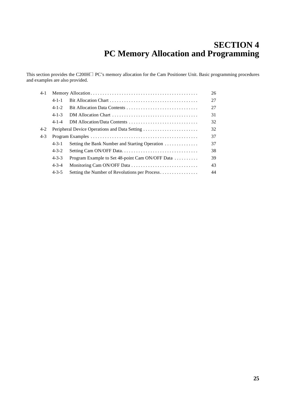# **SECTION 4 PC Memory Allocation and Programming**

This section provides the C200H $\Box$  PC's memory allocation for the Cam Positioner Unit. Basic programming procedures and examples are also provided.

| 4-1 |                                                     |                                                 | 26 |  |  |  |  |
|-----|-----------------------------------------------------|-------------------------------------------------|----|--|--|--|--|
|     | $4 - 1 - 1$                                         |                                                 | 27 |  |  |  |  |
|     | $4 - 1 - 2$                                         |                                                 | 27 |  |  |  |  |
|     | $4 - 1 - 3$                                         |                                                 | 31 |  |  |  |  |
|     | $4 - 1 - 4$                                         | DM Allocation/Data Contents                     | 32 |  |  |  |  |
| 4-2 | 32<br>Peripheral Device Operations and Data Setting |                                                 |    |  |  |  |  |
| 4-3 |                                                     |                                                 | 37 |  |  |  |  |
|     | $4 - 3 - 1$                                         | Setting the Bank Number and Starting Operation  | 37 |  |  |  |  |
|     | $4 - 3 - 2$                                         |                                                 | 38 |  |  |  |  |
|     | $4 - 3 - 3$                                         | Program Example to Set 48-point Cam ON/OFF Data | 39 |  |  |  |  |
|     | $4 - 3 - 4$                                         |                                                 | 43 |  |  |  |  |
|     | $4 - 3 - 5$                                         | Setting the Number of Revolutions per Process   | 44 |  |  |  |  |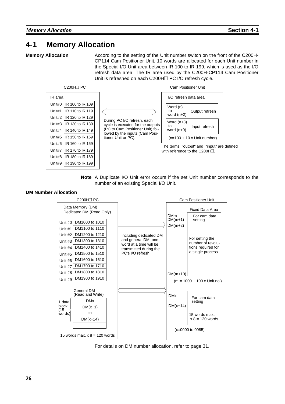# **4-1 Memory Allocation**

**Memory Allocation** According to the setting of the Unit number switch on the front of the C200H-CP114 Cam Positioner Unit, 10 words are allocated for each Unit number in the Special I/O Unit area between IR 100 to IR 199, which is used as the I/O refresh data area. The IR area used by the C200H-CP114 Cam Positioner Unit is refreshed on each C200H□ PC I/O refresh cycle.





#### **DM Number Allocation**



For details on DM number allocation, refer to page 31.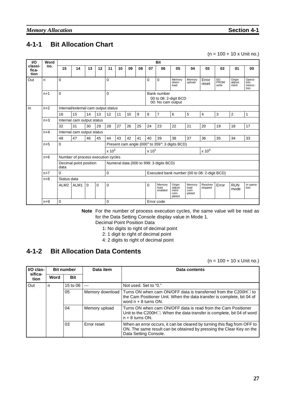# **4-1-1 Bit Allocation Chart**

 $(n = 100 + 10 \times$  Unit no.)

| VO.                      | Word                 |                            | <b>Bit</b>                          |          |                                                           |                                                   |    |                                         |          |                               |                                             |                                  |                     |                      |                           |                                    |              |
|--------------------------|----------------------|----------------------------|-------------------------------------|----------|-----------------------------------------------------------|---------------------------------------------------|----|-----------------------------------------|----------|-------------------------------|---------------------------------------------|----------------------------------|---------------------|----------------------|---------------------------|------------------------------------|--------------|
| classi-<br>fica-<br>tion | no.                  | 15                         | 14                                  | 13       | 12                                                        | 11                                                | 10 | 09                                      | 08       | 07                            | 06                                          | 05                               | 04                  | 03                   | 02                        | 01                                 | 00           |
| Out                      | n.                   | 0                          |                                     |          |                                                           | 0                                                 |    |                                         | $\Omega$ | 0                             | Memory<br>down-<br>load                     | Memory<br>upload                 | Error<br>reset      | EE-<br>PROM<br>write | Origin<br>adjust-<br>ment | Opera-<br>tion<br>instruc-<br>tion |              |
|                          | $\mathbf 0$<br>$n+1$ |                            |                                     | 0        | Bank number<br>00 to 08: 2-digit BCD<br>00: No cam output |                                                   |    |                                         |          |                               |                                             |                                  |                     |                      |                           |                                    |              |
| In                       | $n+2$                |                            | Internal/external cam output status |          |                                                           |                                                   |    |                                         |          |                               |                                             |                                  |                     |                      |                           |                                    |              |
|                          |                      | 16                         | 15                                  | 14       | 13                                                        | 12                                                | 11 | 10                                      | 9        | 8                             | $\overline{7}$                              | 6                                | 5                   | $\overline{4}$       | 3                         | 2                                  | $\mathbf{1}$ |
|                          | $n+3$                | Internal cam output status |                                     |          |                                                           |                                                   |    |                                         |          |                               |                                             |                                  |                     |                      |                           |                                    |              |
|                          |                      | 32                         | 31                                  | 30       | 29                                                        | 28                                                | 27 | 26                                      | 25       | 24                            | 23                                          | 22                               | 21                  | 20                   | 19                        | 18                                 | 17           |
|                          | $n+4$                |                            | Internal cam output status          |          |                                                           |                                                   |    |                                         |          |                               |                                             |                                  |                     |                      |                           |                                    |              |
|                          |                      | 48                         | 47                                  | 46       | 45                                                        | 44                                                | 43 | 42                                      | 41       | 40                            | 39                                          | 38                               | 37                  | 36                   | 35                        | 34                                 | 33           |
|                          | $n+5$                | $\mathbf 0$                |                                     |          |                                                           | Present cam angle (000° to 359°: 3 digits BCD)    |    |                                         |          |                               |                                             |                                  |                     |                      |                           |                                    |              |
|                          |                      |                            |                                     |          |                                                           | $x 10^2$                                          |    |                                         |          | $x 10^0$<br>x 10 <sup>1</sup> |                                             |                                  |                     |                      |                           |                                    |              |
|                          | $n+6$                |                            | Number of process execution cycles  |          |                                                           |                                                   |    |                                         |          |                               |                                             |                                  |                     |                      |                           |                                    |              |
|                          |                      | data                       | Decimal point position              |          |                                                           |                                                   |    | Numeral data (000 to 999: 3 digits BCD) |          |                               |                                             |                                  |                     |                      |                           |                                    |              |
|                          | $n+7$                | $\mathbf 0$                |                                     |          |                                                           | 0<br>Executed bank number (00 to 08: 2-digit BCD) |    |                                         |          |                               |                                             |                                  |                     |                      |                           |                                    |              |
|                          | $n+8$                | Status data                |                                     |          |                                                           |                                                   |    |                                         |          |                               |                                             |                                  |                     |                      |                           |                                    |              |
|                          |                      | ALM <sub>2</sub>           | ALM1                                | $\Omega$ | $\Omega$                                                  | 0                                                 |    |                                         | 0        | Memory<br>load<br>enabled     | Origin<br>adjust-<br>ment<br>com-<br>pleted | Memory<br>load<br>com-<br>pleted | Resolver<br>stopped | Error                | <b>RUN</b><br>mode        | In opera-<br>tion                  |              |
|                          | $n+9$                | 0                          |                                     |          |                                                           | 0                                                 |    |                                         |          |                               | Error code                                  |                                  |                     |                      |                           |                                    |              |

**Note** For the number of process execution cycles, the same value will be read as for the Data Setting Console display value in Mode 1. Decimal Point Position Data

- 1: No digits to right of decimal point
- 2: 1 digit to right of decimal point
- 4: 2 digits to right of decimal point

# **4-1-2 Bit Allocation Data Contents**

 $(n = 100 + 10 \times$  Unit no.)

| I/O clas-       | <b>Bit number</b> |            | Data item       | Data contents                                                                                                                                                             |  |  |  |
|-----------------|-------------------|------------|-----------------|---------------------------------------------------------------------------------------------------------------------------------------------------------------------------|--|--|--|
| sifica-<br>tion | Word              | <b>Bit</b> |                 |                                                                                                                                                                           |  |  |  |
| Out             | n                 | 15 to 06   | $---$           | Not used. Set to "0."                                                                                                                                                     |  |  |  |
|                 |                   | 05         | Memory download | Turns ON when cam ON/OFF data is transferred from the C200H□ to<br>the Cam Positioner Unit. When the data transfer is complete, bit 04 of<br>word $n + 8$ turns ON.       |  |  |  |
|                 |                   | 04         | Memory upload   | Turns ON when cam ON/OFF data is read from the Cam Positioner<br>Unit to the C200H $\Box$ . When the data transfer is complete, bit 04 of word<br>$n + 8$ turns ON.       |  |  |  |
|                 |                   | 03         | Error reset     | When an error occurs, it can be cleared by turning this flag from OFF to<br>ON. The same result can be obtained by pressing the Clear Key on the<br>Data Setting Console. |  |  |  |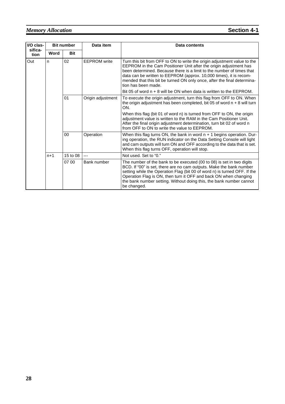# *Memory Allocation* **Section 4-1**

| I/O clas-<br>sifica-<br>tion | <b>Bit number</b> |            | Data item           | Data contents                                                                                                                                                                                                                                                                                                                                                                                  |  |  |  |  |  |  |  |
|------------------------------|-------------------|------------|---------------------|------------------------------------------------------------------------------------------------------------------------------------------------------------------------------------------------------------------------------------------------------------------------------------------------------------------------------------------------------------------------------------------------|--|--|--|--|--|--|--|
|                              | Word              | <b>Bit</b> |                     |                                                                                                                                                                                                                                                                                                                                                                                                |  |  |  |  |  |  |  |
| Out                          | n.                | 02         | <b>FFPROM</b> write | Turn this bit from OFF to ON to write the origin adjustment value to the<br>EEPROM in the Cam Positioner Unit after the origin adjustment has<br>been determined. Because there is a limit to the number of times that<br>data can be written to EEPROM (approx. 10,000 times), it is recom-<br>mended that this bit be turned ON only once, after the final determina-<br>tion has been made. |  |  |  |  |  |  |  |
|                              |                   |            |                     | Bit 05 of word $n + 8$ will be ON when data is written to the EEPROM.                                                                                                                                                                                                                                                                                                                          |  |  |  |  |  |  |  |
|                              |                   | 01         | Origin adjustment   | To execute the origin adjustment, turn this flag from OFF to ON. When<br>the origin adjustment has been completed, bit 05 of word $n + 8$ will turn<br>ON.                                                                                                                                                                                                                                     |  |  |  |  |  |  |  |
|                              |                   |            |                     |                                                                                                                                                                                                                                                                                                                                                                                                |  |  |  |  |  |  |  |
|                              |                   | 00         | Operation           | When this flag turns ON, the bank in word $n + 1$ begins operation. Dur-<br>ing operation, the RUN indicator on the Data Setting Console will light<br>and cam outputs will turn ON and OFF according to the data that is set.<br>When this flag turns OFF, operation will stop.                                                                                                               |  |  |  |  |  |  |  |
|                              | $n+1$             | 15 to 08   | $---$               | Not used. Set to "0."                                                                                                                                                                                                                                                                                                                                                                          |  |  |  |  |  |  |  |
|                              |                   | 07 00      | Bank number         | The number of the bank to be executed (00 to 08) is set in two digits<br>BCD. If "00" is set, there are no cam outputs. Make the bank number<br>setting while the Operation Flag (bit 00 of word n) is turned OFF. If the<br>Operation Flag is ON, then turn it OFF and back ON when changing<br>the bank number setting. Without doing this, the bank number cannot<br>be changed.            |  |  |  |  |  |  |  |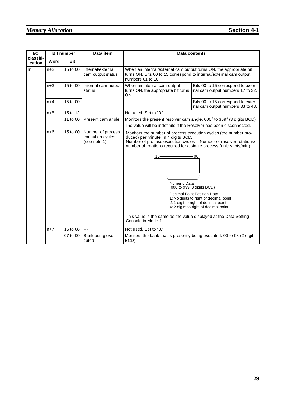| I/O                 |       | <b>Bit number</b> | Data item                                             |                                                                                                                                                                                                                                                                             | Data contents                                                                                                                                                                                |
|---------------------|-------|-------------------|-------------------------------------------------------|-----------------------------------------------------------------------------------------------------------------------------------------------------------------------------------------------------------------------------------------------------------------------------|----------------------------------------------------------------------------------------------------------------------------------------------------------------------------------------------|
| classifi-<br>cation | Word  | <b>Bit</b>        |                                                       |                                                                                                                                                                                                                                                                             |                                                                                                                                                                                              |
| $\ln$<br>$n+2$      |       | 15 to 00          | Internal/external<br>cam output status                | When an internal/external cam output turns ON, the appropriate bit<br>turns ON. Bits 00 to 15 correspond to internal/external cam output<br>numbers 01 to 16.                                                                                                               |                                                                                                                                                                                              |
|                     | $n+3$ | 15 to 00          | Internal cam output<br>status                         | When an internal cam output<br>Bits 00 to 15 correspond to exter-<br>turns ON, the appropriate bit turns<br>nal cam output numbers 17 to 32.<br>ON.                                                                                                                         |                                                                                                                                                                                              |
|                     | $n+4$ | 15 to 00          |                                                       |                                                                                                                                                                                                                                                                             | Bits 00 to 15 correspond to exter-<br>nal cam output numbers 33 to 48.                                                                                                                       |
|                     | $n+5$ | 15 to 12          | $\overline{a}$                                        | Not used. Set to "0."                                                                                                                                                                                                                                                       |                                                                                                                                                                                              |
|                     |       | 11 to 00          | Present cam angle                                     | Monitors the present resolver cam angle. $000^\circ$ to $359^\circ$ (3 digits BCD)                                                                                                                                                                                          |                                                                                                                                                                                              |
|                     |       |                   |                                                       | The value will be indefinite if the Resolver has been disconnected.                                                                                                                                                                                                         |                                                                                                                                                                                              |
|                     | $n+6$ | 15 to 00          | Number of process<br>execution cycles<br>(see note 1) | Monitors the number of process execution cycles (the number pro-<br>duced) per minute, in 4 digits BCD.<br>Number of process execution cycles = Number of resolver rotations/<br>number of rotations required for a single process (unit: shots/min)<br>15+<br>Numeric Data | - 00<br>(000 to 999: 3 digits BCD)<br>Decimal Point Position Data<br>1: No digits to right of decimal point<br>2: 1 digit to right of decimal point<br>4: 2 digits to right of decimal point |
|                     | $n+7$ | 15 to 08          | $\overline{a}$                                        | This value is the same as the value displayed at the Data Setting<br>Console in Mode 1.<br>Not used. Set to "0."                                                                                                                                                            |                                                                                                                                                                                              |
|                     |       |                   |                                                       |                                                                                                                                                                                                                                                                             |                                                                                                                                                                                              |
|                     |       | 07 to 00          | Bank being exe-<br>cuted                              | Monitors the bank that is presently being executed. 00 to 08 (2-digit<br>BCD)                                                                                                                                                                                               |                                                                                                                                                                                              |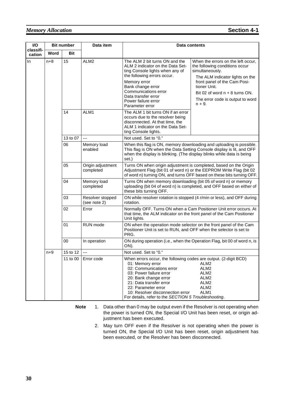## *Memory Allocation* **Section 4-1**

| I/O                 | <b>Bit number</b> |          | Data item                        | Data contents                                                                                                                                                                                                                                                                                                      |                                                                                                                                                                                                                                                                 |
|---------------------|-------------------|----------|----------------------------------|--------------------------------------------------------------------------------------------------------------------------------------------------------------------------------------------------------------------------------------------------------------------------------------------------------------------|-----------------------------------------------------------------------------------------------------------------------------------------------------------------------------------------------------------------------------------------------------------------|
| classifi-<br>cation | Word              | Bit      |                                  |                                                                                                                                                                                                                                                                                                                    |                                                                                                                                                                                                                                                                 |
| In.                 | $n+8$             | 15       | ALM2                             | The ALM 2 bit turns ON and the<br>ALM 2 indicator on the Data Set-<br>ting Console lights when any of<br>the following errors occur.<br>Memory error<br>Bank change error<br>Communications error<br>Data transfer error<br>Power failure error<br>Parameter error                                                 | When the errors on the left occur,<br>the following conditions occur<br>simultaneously.<br>The ALM indicator lights on the<br>front panel of the Cam Posi-<br>tioner Unit.<br>Bit 02 of word $n + 8$ turns ON.<br>The error code is output to word<br>$n + 9$ . |
|                     |                   | 14       | ALM1                             | The ALM 1 bit turns ON if an error<br>occurs due to the resolver being<br>disconnected. At that time, the<br>ALM 1 indicator on the Data Set-<br>ting Console lights.                                                                                                                                              |                                                                                                                                                                                                                                                                 |
|                     |                   | 13 to 07 | $\overline{a}$                   | Not used. Set to "0."                                                                                                                                                                                                                                                                                              |                                                                                                                                                                                                                                                                 |
|                     |                   | 06       | Memory load<br>enabled           | This flag is ON when the Data Setting Console display is lit, and OFF<br>when the display is blinking. (The display blinks while data is being<br>set.)                                                                                                                                                            | When this flag is ON, memory downloading and uploading is possible.                                                                                                                                                                                             |
|                     |                   | 05       | Origin adjustment<br>completed   | Turns ON when origin adjustment is completed, based on the Origin<br>Adjustment Flag (bit 01 of word n) or the EEPROM Write Flag (bit 02                                                                                                                                                                           | of word n) turning ON, and turns OFF based on these bits turning OFF.                                                                                                                                                                                           |
|                     |                   | 04       | Memory load<br>completed         | Turns ON when memory downloading (bit 05 of word n) or memory<br>these bits turning OFF.                                                                                                                                                                                                                           | uploading (bit 04 of word n) is completed, and OFF based on either of                                                                                                                                                                                           |
|                     |                   | 03       | Resolver stopped<br>(see note 2) | rotation.                                                                                                                                                                                                                                                                                                          | ON while resolver rotation is stopped (4 r/min or less), and OFF during                                                                                                                                                                                         |
|                     |                   | 02       | Error                            | that time, the ALM indicator on the front panel of the Cam Positioner<br>Unit lights.                                                                                                                                                                                                                              | Normally OFF. Turns ON when a Cam Positioner Unit error occurs. At                                                                                                                                                                                              |
|                     |                   | 01       | RUN mode                         | ON when the operation mode selector on the front panel of the Cam<br>Positioner Unit is set to RUN, and OFF when the selector is set to<br>PRG.                                                                                                                                                                    |                                                                                                                                                                                                                                                                 |
|                     |                   | 00       | In operation                     | ON).                                                                                                                                                                                                                                                                                                               | ON during operation (i.e., when the Operation Flag, bit 00 of word n, is                                                                                                                                                                                        |
|                     | $n+9$             | 15 to 12 | $\overline{a}$                   | Not used. Set to "0."                                                                                                                                                                                                                                                                                              |                                                                                                                                                                                                                                                                 |
|                     |                   | 11 to 00 | Error code                       | When errors occur, the following codes are output. (2-digit BCD)<br>01: Memory error<br>02: Communications error<br>03: Power failure error<br>20: Bank change error<br>21: Data transfer error<br>22: Parameter error<br>10: Resolver disconnection error<br>For details, refer to the SECTION 5 Troubleshooting. | ALM2<br>ALM2<br>ALM2<br>ALM <sub>2</sub><br>ALM <sub>2</sub><br>ALM <sub>2</sub><br>ALM1                                                                                                                                                                        |

**Note** 1. Data other than 0 may be output even if the Resolver is not operating when the power is turned ON, the Special I/O Unit has been reset, or origin adjustment has been executed.

> 2. May turn OFF even if the Resolver is not operating when the power is turned ON, the Special I/O Unit has been reset, origin adjustment has been executed, or the Resolver has been disconnected.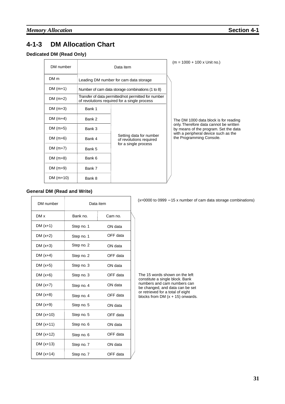# **4-1-3 DM Allocation Chart**

### **Dedicated DM (Read Only)**

| DM number       | Data item                              |                                                                                                     |  | $(m = 1000 + 100 \times$ Unit no.)                                                                                      |
|-----------------|----------------------------------------|-----------------------------------------------------------------------------------------------------|--|-------------------------------------------------------------------------------------------------------------------------|
| DM <sub>m</sub> | Leading DM number for cam data storage |                                                                                                     |  |                                                                                                                         |
| $DM(m+1)$       |                                        | Number of cam data storage combinations (1 to 8)                                                    |  |                                                                                                                         |
| $DM(m+2)$       |                                        | Transfer of data permitted/not permitted for number<br>of revolutions required for a single process |  |                                                                                                                         |
| $DM(m+3)$       | Bank 1                                 |                                                                                                     |  |                                                                                                                         |
| DM $(m+4)$      | Bank 2                                 |                                                                                                     |  | The DM 1000 data block is for reading                                                                                   |
| DM $(m+5)$      | Bank 3                                 |                                                                                                     |  | only. Therefore data cannot be written<br>by means of the program. Set the data<br>with a peripheral device such as the |
| DM $(m+6)$      | Bank 4                                 | Setting data for number<br>of revolutions required<br>for a single process                          |  | the Programming Console.                                                                                                |
| $DM(m+7)$       | Bank 5                                 |                                                                                                     |  |                                                                                                                         |
| DM $(m+8)$      | Bank 6                                 |                                                                                                     |  |                                                                                                                         |
| $DM(m+9)$       | Bank 7                                 |                                                                                                     |  |                                                                                                                         |
| DM $(m+10)$     | Bank 8                                 |                                                                                                     |  |                                                                                                                         |

#### **General DM (Read and Write)**

| DM number   |            | Data item |
|-------------|------------|-----------|
| DM x        | Bank no.   | Cam no.   |
| DM $(x+1)$  | Step no. 1 | ON data   |
| DM $(x+2)$  | Step no. 1 | OFF data  |
| DM $(x+3)$  | Step no. 2 | ON data   |
| DM $(x+4)$  | Step no. 2 | OFF data  |
| DM $(x+5)$  | Step no. 3 | ON data   |
| DM $(x+6)$  | Step no. 3 | OFF data  |
| DM $(x+7)$  | Step no. 4 | ON data   |
| DM $(x+8)$  | Step no. 4 | OFF data  |
| DM $(x+9)$  | Step no. 5 | ON data   |
| $DM(x+10)$  | Step no. 5 | OFF data  |
| $DM(x+11)$  | Step no. 6 | ON data   |
| $DM(x+12)$  | Step no. 6 | OFF data  |
| $DM(x+13)$  | Step no. 7 | ON data   |
| DM $(x+14)$ | Step no. 7 | OFF data  |

(x=0000 to 0999 − 15 x number of cam data storage combinations)

The 15 words shown on the left constitute a single block. Bank numbers and cam numbers can be changed, and data can be set or retrieved for a total of eight blocks from DM  $(x + 15)$  onwards.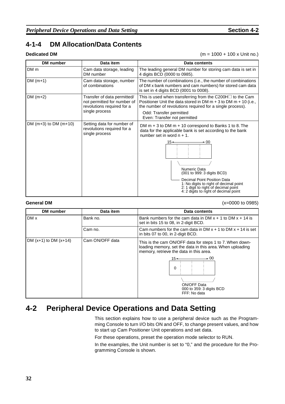## **4-1-4 DM Allocation/Data Contents**

**Dedicated DM** (m = 1000 + 100 x Unit no.)

| DM number                 | Data item                                                                                                  | Data contents                                                                                                                                                                                                                                                                                                                                                                 |
|---------------------------|------------------------------------------------------------------------------------------------------------|-------------------------------------------------------------------------------------------------------------------------------------------------------------------------------------------------------------------------------------------------------------------------------------------------------------------------------------------------------------------------------|
| DM m                      | Cam data storage, leading<br>DM number                                                                     | The leading general DM number for storing cam data is set in<br>4 digits BCD (0000 to 0985).                                                                                                                                                                                                                                                                                  |
| $DM(m+1)$                 | Cam data storage, number<br>of combinations                                                                | The number of combinations (i.e., the number of combinations<br>of DM x bank numbers and cam numbers) for stored cam data<br>is set in 4 digits BCD (0001 to 0008).                                                                                                                                                                                                           |
| DM $(m+2)$                | Transfer of data permitted/<br>not permitted for number of<br>revolutions required for a<br>single process | This is used when transferring from the C200H $\Box$ to the Cam<br>Positioner Unit the data stored in DM $m + 3$ to DM $m + 10$ (i.e.,<br>the number of revolutions required for a single process).<br>Odd: Transfer permitted<br>Even: Transfer not permitted                                                                                                                |
| DM $(m+3)$ to DM $(m+10)$ | Setting data for number of<br>revolutions required for a<br>single process                                 | DM $m + 3$ to DM $m + 10$ correspond to Banks 1 to 8. The<br>data for the applicable bank is set according to the bank<br>number set in word $n + 1$ .<br>15+<br>- 00<br>Numeric Data<br>(001 to 999: 3 digits BCD)<br>Decimal Point Position Data<br>1: No digits to right of decimal point<br>2: 1 digit to right of decimal point<br>4: 2 digits to right of decimal point |

**General DM** (x=0000 to 0985)

| <b>DM</b> number          | Data item       | Data contents                                                                                                                                                                                                                                               |
|---------------------------|-----------------|-------------------------------------------------------------------------------------------------------------------------------------------------------------------------------------------------------------------------------------------------------------|
| DM x                      | Bank no.        | Bank numbers for the cam data in DM $x + 1$ to DM $x + 14$ is<br>set in bits 15 to 08, in 2-digit BCD.                                                                                                                                                      |
|                           | Cam no.         | Cam numbers for the cam data in DM $x + 1$ to DM $x + 14$ is set<br>in bits 07 to 00, in 2-digit BCD.                                                                                                                                                       |
| DM $(x+1)$ to DM $(x+14)$ | Cam ON/OFF data | This is the cam ON/OFF data for steps 1 to 7. When down-<br>loading memory, set the data in this area. When uploading<br>memory, retrieve the data in this area.<br>$\div 00$<br>15←<br>$\Omega$<br>ON/OFF Data<br>000 to 359: 3 digits BCD<br>FFF: No data |

# **4-2 Peripheral Device Operations and Data Setting**

This section explains how to use a peripheral device such as the Programming Console to turn I/O bits ON and OFF, to change present values, and how to start up Cam Positioner Unit operations and set data.

For these operations, preset the operation mode selector to RUN.

In the examples, the Unit number is set to "0," and the procedure for the Programming Console is shown.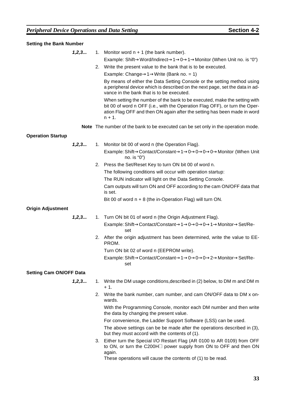| <b>Setting the Bank Number</b> |         |    |                                                                                                                                                                                                                                                   |
|--------------------------------|---------|----|---------------------------------------------------------------------------------------------------------------------------------------------------------------------------------------------------------------------------------------------------|
|                                | 1, 2, 3 |    | 1. Monitor word $n + 1$ (the bank number).                                                                                                                                                                                                        |
|                                |         |    | Example: Shift $\rightarrow$ Word/Indirect $\rightarrow$ 1 $\rightarrow$ 0 $\rightarrow$ 1 $\rightarrow$ Monitor (When Unit no. is "0")                                                                                                           |
|                                |         |    | 2. Write the present value to the bank that is to be executed.                                                                                                                                                                                    |
|                                |         |    | Example: Change $\rightarrow$ 1 $\rightarrow$ Write (Bank no. = 1)                                                                                                                                                                                |
|                                |         |    | By means of either the Data Setting Console or the setting method using<br>a peripheral device which is described on the next page, set the data in ad-<br>vance in the bank that is to be executed.                                              |
|                                |         |    | When setting the number of the bank to be executed, make the setting with<br>bit 00 of word n OFF (i.e., with the Operation Flag OFF), or turn the Oper-<br>ation Flag OFF and then ON again after the setting has been made in word<br>$n + 1$ . |
|                                |         |    | Note The number of the bank to be executed can be set only in the operation mode.                                                                                                                                                                 |
| <b>Operation Startup</b>       |         |    |                                                                                                                                                                                                                                                   |
|                                | 1, 2, 3 |    | 1. Monitor bit 00 of word n (the Operation Flag).                                                                                                                                                                                                 |
|                                |         |    | Example: Shift->Contact/Constant->1->0->0->0->0->Monitor (When Unit<br>no. is "0")                                                                                                                                                                |
|                                |         |    | 2. Press the Set/Reset Key to turn ON bit 00 of word n.                                                                                                                                                                                           |
|                                |         |    | The following conditions will occur with operation startup:                                                                                                                                                                                       |
|                                |         |    | The RUN indicator will light on the Data Setting Console.                                                                                                                                                                                         |
|                                |         |    | Cam outputs will turn ON and OFF according to the cam ON/OFF data that<br>is set.                                                                                                                                                                 |
|                                |         |    | Bit 00 of word $n + 8$ (the in-Operation Flag) will turn ON.                                                                                                                                                                                      |
| <b>Origin Adjustment</b>       |         |    |                                                                                                                                                                                                                                                   |
|                                | 1, 2, 3 |    | 1. Turn ON bit 01 of word n (the Origin Adjustment Flag).                                                                                                                                                                                         |
|                                |         |    | Example: Shift→Contact/Constant→1→0→0→0→1→Monitor→Set/Re-<br>set                                                                                                                                                                                  |
|                                |         |    | 2. After the origin adjustment has been determined, write the value to EE-<br>PROM.                                                                                                                                                               |
|                                |         |    | Turn ON bit 02 of word n (EEPROM write).                                                                                                                                                                                                          |
|                                |         |    | Example: Shift→Contact/Constant→1→0→0→0→2→Monitor→Set/Re-<br>set                                                                                                                                                                                  |
| <b>Setting Cam ON/OFF Data</b> |         |    |                                                                                                                                                                                                                                                   |
|                                | 1, 2, 3 |    | 1. Write the DM usage conditions, described in (2) below, to DM m and DM m<br>$+1.$                                                                                                                                                               |
|                                |         | 2. | Write the bank number, cam number, and cam ON/OFF data to DM x on-<br>wards.                                                                                                                                                                      |
|                                |         |    | With the Programming Console, monitor each DM number and then write<br>the data by changing the present value.                                                                                                                                    |
|                                |         |    | For convenience, the Ladder Support Software (LSS) can be used.                                                                                                                                                                                   |
|                                |         |    | The above settings can be be made after the operations described in (3),<br>but they must accord with the contents of (1).                                                                                                                        |
|                                |         |    | 3. Either turn the Special I/O Restart Flag (AR 0100 to AR 0109) from OFF<br>to ON, or turn the C200H□ power supply from ON to OFF and then ON<br>again.                                                                                          |

These operations will cause the contents of (1) to be read.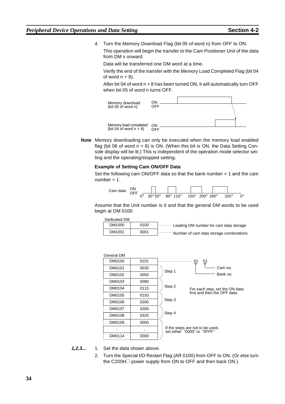4. Turn the Memory Download Flag (bit 05 of word n) from OFF to ON.

This operation will begin the transfer to the Cam Positioner Unit of the data from DM x onward.

Data will be transferred one DM word at a time.

Verify the end of the transfer with the Memory Load Completed Flag (bit 04 of word  $n + 8$ ).

After bit 04 of word n + 8 has been turned ON, it will automatically turn OFF when bit 05 of word n turns OFF.



**Note** Memory downloading can only be executed when the memory load enabled flag (bit 06 of word  $n + 8$ ) is ON. (When this bit is ON, the Data Setting Console display will be lit.) This is independent of the operation mode selector setting and the operating/stopped setting.

#### **Example of Setting Cam ON/OFF Data**

Set the following cam ON/OFF data so that the bank number = 1 and the cam  $number = 1$ .



Assume that the Unit number is 0 and that the general DM words to be used begin at DM 0100.

Dedicated DM

| DM1000 | 0100 | $\left  \cdots \cdots \right $ Leading DM number for cam data storage |
|--------|------|-----------------------------------------------------------------------|
| DM1001 | 0001 | Number of cam data storage combinations                               |

| General DM |      |                                                                          |
|------------|------|--------------------------------------------------------------------------|
| DM0100     | 0101 | 01<br><u>01</u>                                                          |
| DM0101     | 0030 | Cam no.<br>Step 1                                                        |
| DM0102     | 0050 | Bank no.                                                                 |
| DM0103     | 0080 |                                                                          |
| DM0104     | 0115 | Step 2<br>For each step, set the ON data<br>first and then the OFF data. |
| DM0105     | 0150 |                                                                          |
| DM0106     | 0200 | Step 3                                                                   |
| DM0107     | 0260 |                                                                          |
| DM0108     | 0320 | Step 4                                                                   |
| DM0109     | 0000 |                                                                          |
|            |      | If the steps are not to be used,<br>set either "0000" or "0FFF."         |
| DM0114     | 0000 |                                                                          |
|            |      |                                                                          |

**1,2,3...** 1. Set the data shown above.

2. Turn the Special I/O Restart Flag (AR 0100) from OFF to ON. (Or else turn the C200H $\Box$  power supply from ON to OFF and then back ON.)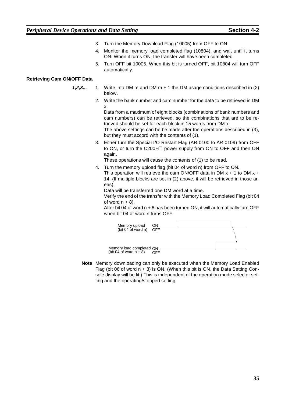- 3. Turn the Memory Download Flag (10005) from OFF to ON.
- 4. Monitor the memory load completed flag (10804), and wait until it turns ON. When it turns ON, the transfer will have been completed.
- 5. Turn OFF bit 10005. When this bit is turned OFF, bit 10804 will turn OFF automatically.

#### **Retrieving Cam ON/OFF Data**

- **1,2,3...** 1. Write into DM m and DM m + 1 the DM usage conditions described in (2) below.
	- 2. Write the bank number and cam number for the data to be retrieved in DM x.

Data from a maximum of eight blocks (combinations of bank numbers and cam numbers) can be retrieved, so the combinations that are to be retrieved should be set for each block in 15 words from DM x.

The above settings can be be made after the operations described in (3), but they must accord with the contents of (1).

3. Either turn the Special I/O Restart Flag (AR 0100 to AR 0109) from OFF to ON, or turn the C200H<sub>1</sub> power supply from ON to OFF and then ON again.

These operations will cause the contents of (1) to be read.

4. Turn the memory upload flag (bit 04 of word n) from OFF to ON. This operation will retrieve the cam ON/OFF data in DM  $x + 1$  to DM  $x +$ 14. (If multiple blocks are set in (2) above, it will be retrieved in those areas).

Data will be transferred one DM word at a time.

Verify the end of the transfer with the Memory Load Completed Flag (bit 04 of word  $n + 8$ ).

After bit 04 of word n + 8 has been turned ON, it will automatically turn OFF when bit 04 of word n turns OFF.



**Note** Memory downloading can only be executed when the Memory Load Enabled Flag (bit 06 of word  $n + 8$ ) is ON. (When this bit is ON, the Data Setting Console display will be lit.) This is independent of the operation mode selector setting and the operating/stopped setting.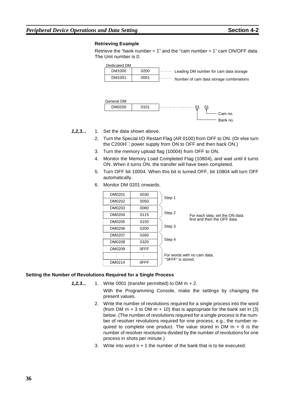### *Peripheral Device Operations and Data Setting* **Section 4-2 Section 4-2**

#### **Retrieving Example**

Retrieve the "bank number  $= 1$ " and the "cam number  $= 1$ " cam ON/OFF data. The Unit number is 0.





#### **1,2,3...** 1. Set the data shown above.

- 2. Turn the Special I/O Restart Flag (AR 0100) from OFF to ON. (Or else turn the C200H $\Box$  power supply from ON to OFF and then back ON.)
- 3. Turn the memory upload flag (10004) from OFF to ON.
- 4. Monitor the Memory Load Completed Flag (10804), and wait until it turns ON. When it turns ON, the transfer will have been completed.
- 5. Turn OFF bit 10004. When this bit is turned OFF, bit 10804 will turn OFF automatically.
- 6. Monitor DM 0201 onwards.

| DM0201 | 0030 | Step 1                                                                   |
|--------|------|--------------------------------------------------------------------------|
| DM0202 | 0050 |                                                                          |
| DM0203 | 0080 |                                                                          |
| DM0204 | 0115 | Step 2<br>For each step, set the ON data<br>first and then the OFF data. |
| DM0205 | 0150 |                                                                          |
| DM0206 | 0200 | Step 3                                                                   |
| DM0207 | 0260 |                                                                          |
| DM0208 | 0320 | Step 4                                                                   |
| DM0209 | 0FFF |                                                                          |
| ÷      |      | For words with no cam data,<br>"OFFF" is stored.                         |
| DM0214 | 0FFF |                                                                          |

#### **Setting the Number of Revolutions Required for a Single Process**

**1,2,3...** 1. Write 0001 (transfer permitted) to DM m + 2.

With the Programming Console, make the settings by changing the present values.

- 2. Write the number of revolutions required for a single process into the word (from DM  $m + 3$  to DM  $m + 10$ ) that is appropriate for the bank set in (3) below. (The number of revolutions required for a single process is the number of resolver revolutions required for one process, e.g., the number required to complete one product. The value stored in DM  $m + 6$  is the number of resolver revolutions divided by the number of revolutions for one process in shots per minute.)
- 3. Write into word n + 1 the number of the bank that is to be executed.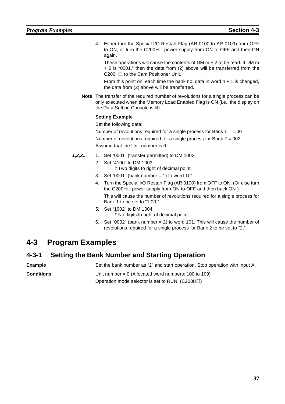4. Either turn the Special I/O Restart Flag (AR 0100 to AR 0109) from OFF to ON, or turn the C200H $\Box$  power supply from ON to OFF and then ON again.

These operations will cause the contents of DM m + 2 to be read. If DM m + 2 is "0001," then the data from (2) above will be transferred from the C200H□ to the Cam Positioner Unit.

From this point on, each time the bank no. data in word  $n + 1$  is changed, the data from (2) above will be transferred.

**Note** The transfer of the required number of revolutions for a single process can be only executed when the Memory Load Enabled Flag is ON (i.e., the display on the Data Setting Console is lit).

#### **Setting Example**

Set the following data:

Number of revolutions required for a single process for Bank  $1 = 1.00$ Number of revolutions required for a single process for Bank 2 = 002 Assume that the Unit number is 0.

- **1,2,3...** 1. Set "0001" (transfer permitted) to DM 1002.
	- 2. Set "4100" to DM 1003.
		- $\uparrow$  Two digits to right of decimal point.
	- 3. Set "0001" (bank number = 1) to word  $101$ .
	- 4. Turn the Special I/O Restart Flag (AR 0100) from OFF to ON. (Or else turn the C200H $\Box$  power supply from ON to OFF and then back ON.) This will cause the number of revolutions required for a single process for Bank 1 to be set to "1.00."
	- 5. Set "1002" to DM 1004.
		- ↑ No digits to right of decimal point.
	- 6. Set "0002" (bank number = 2) to word 101. This will cause the number of revolutions required for a single process for Bank 2 to be set to "2."

# **4-3 Program Examples**

## **4-3-1 Setting the Bank Number and Starting Operation**

**Example** Set the bank number as "2" and start operation. Stop operation with input A.

**Conditions** Unit number = 0 (Allocated word numbers: 100 to 109) Operation mode selector is set to RUN.  $(C200H\Box)$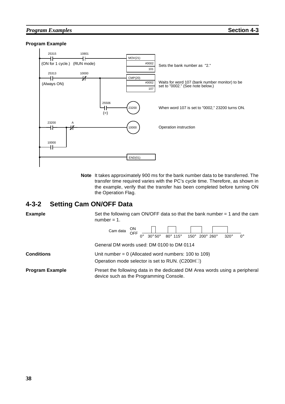### *Program Examples* **Section 4-3**

#### **Program Example**



**Note** It takes approximately 900 ms for the bank number data to be transferred. The transfer time required varies with the PC's cycle time. Therefore, as shown in the example, verify that the transfer has been completed before turning ON the Operation Flag.

## **4-3-2 Setting Cam ON/OFF Data**

| <b>Example</b>  | Set the following cam ON/OFF data so that the bank number $=$ 1 and the cam<br>number = $1$ .                                                                                                                                       |
|-----------------|-------------------------------------------------------------------------------------------------------------------------------------------------------------------------------------------------------------------------------------|
|                 | Cam data $\begin{array}{cc} ON \\ OFF \\ \hline \end{array}$ $\begin{array}{cc} \boxed{)} \\ \hline \end{array}$<br>$80^\circ$ 115°<br>$200^\circ$ 260 $^\circ$<br>$150^\circ$<br>$30^\circ 50^\circ$<br>$320^\circ$<br>$0^{\circ}$ |
|                 | General DM words used: DM 0100 to DM 0114                                                                                                                                                                                           |
| Conditions      | Unit number = $0$ (Allocated word numbers: 100 to 109)<br>Operation mode selector is set to RUN. (C200H $\square$ )                                                                                                                 |
| Program Example | Preset the following data in the dedicated DM Area words using a peripheral<br>device such as the Programming Console.                                                                                                              |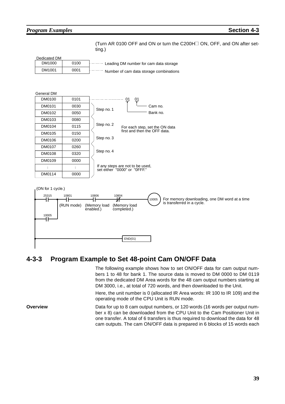### *Program Examples* **Section 4-3**

(Turn AR 0100 OFF and ON or turn the C200H<sup>I</sup> ON, OFF, and ON after setting.)



## **4-3-3 Program Example to Set 48-point Cam ON/OFF Data**

The following example shows how to set ON/OFF data for cam output numbers 1 to 48 for bank 1. The source data is moved to DM 0000 to DM 0119 from the dedicated DM Area words for the 48 cam output numbers starting at DM 3000, i.e., at total of 720 words, and then downloaded to the Unit.

Here, the unit number is 0 (allocated IR Area words: IR 100 to IR 109) and the operating mode of the CPU Unit is RUN mode.

**Overview** Data for up to 8 cam output numbers, or 120 words (16 words per output number x 8) can be downloaded from the CPU Unit to the Cam Positioner Unit in one transfer. A total of 6 transfers is thus required to download the data for 48 cam outputs. The cam ON/OFF data is prepared in 6 blocks of 15 words each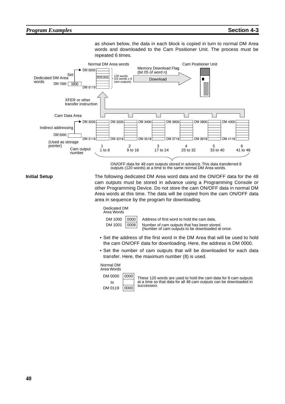as shown below, the data in each block is copied in turn to normal DM Area words and downloaded to the Cam Positioner Unit. The process must be repeated 6 times.



ON/OFF data for 48 cam outputs stored in advance. This data transferred 8 outputs (120 words) at a time to the same normal DM Area words.

**Initial Setup** The following dedicated DM Area word data and the ON/OFF data for the 48 cam outputs must be stored in advance using a Programming Console or other Programming Device. Do not store the cam ON/OFF data in normal DM Area words at this time. The data will be copied from the cam ON/OFF data area in sequence by the program for downloading.

#### Dedicated DM Area Words

| .       |                                                                        |
|---------|------------------------------------------------------------------------|
| DM 1000 |                                                                        |
| DM 1001 | $\begin{array}{ c c }\hline \text{000}\\ \hline \text{000}\end{array}$ |

 $\overline{1000}$  Address of first word to hold the cam data.  $08$  Number of cam outputs that has been stored. (Number of cam outputs to be downloaded at once.

- Set the address of the first word in the DM Area that will be used to hold the cam ON/OFF data for downloading. Here, the address is DM 0000.
- Set the number of cam outputs that will be downloaded for each data transfer. Here, the maximum number (8) is used.

#### Normal DM Area Words



These 120 words are used to hold the cam data for 8 cam outputs at a time so that data for all 48 cam outputs can be downloaded in succession.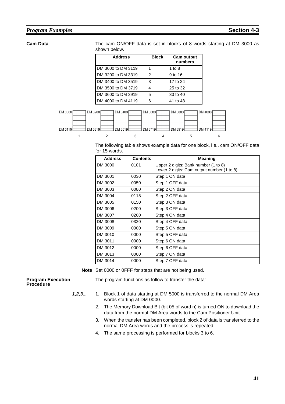#### *Program Examples* **Section 4-3**

**Cam Data** The cam ON/OFF data is set in blocks of 8 words starting at DM 3000 as shown below.

| <b>Address</b>     | <b>Block</b>   | <b>Cam output</b><br>numbers |
|--------------------|----------------|------------------------------|
| DM 3000 to DM 3119 |                | 1 to 8                       |
| DM 3200 to DM 3319 | $\mathfrak{p}$ | 9 to 16                      |
| DM 3400 to DM 3519 | 3              | 17 to 24                     |
| DM 3500 to DM 3719 | 4              | 25 to 32                     |
| DM 3600 to DM 3919 | 5              | 33 to 40                     |
| DM 4000 to DM 4119 | 6              | 41 to 48                     |



The following table shows example data for one block, i.e., cam ON/OFF data for 15 words.

| <b>Address</b> | <b>Contents</b> | <b>Meaning</b>                                                                     |
|----------------|-----------------|------------------------------------------------------------------------------------|
| DM 3000        | 0101            | Upper 2 digits: Bank number (1 to 8)<br>Lower 2 digits: Cam output number (1 to 8) |
| DM 3001        | 0030            | Step 1 ON data                                                                     |
| DM 3002        | 0050            | Step 1 OFF data                                                                    |
| DM 3003        | 0080            | Step 2 ON data                                                                     |
| DM 3004        | 0115            | Step 2 OFF data                                                                    |
| DM 3005        | 0150            | Step 3 ON data                                                                     |
| DM 3006        | 0200            | Step 3 OFF data                                                                    |
| DM 3007        | 0260            | Step 4 ON data                                                                     |
| DM 3008        | 0320            | Step 4 OFF data                                                                    |
| DM 3009        | 0000            | Step 5 ON data                                                                     |
| DM 3010        | 0000            | Step 5 OFF data                                                                    |
| DM 3011        | 0000            | Step 6 ON data                                                                     |
| DM 3012        | 0000            | Step 6 OFF data                                                                    |
| DM 3013        | 0000            | Step 7 ON data                                                                     |
| DM 3014        | 0000            | Step 7 OFF data                                                                    |

**Note** Set 0000 or 0FFF for steps that are not being used.

#### **Program Execution Procedure**

The program functions as follow to transfer the data:

- **1,2,3...** 1. Block 1 of data starting at DM 5000 is transferred to the normal DM Area words starting at DM 0000.
	- 2. The Memory Download Bit (bit 05 of word n) is turned ON to download the data from the normal DM Area words to the Cam Positioner Unit.
	- 3. When the transfer has been completed, block 2 of data is transferred to the normal DM Area words and the process is repeated.
	- 4. The same processing is performed for blocks 3 to 6.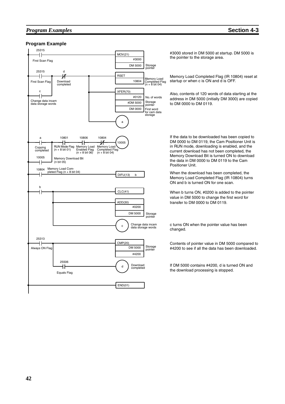### *Program Examples* **Section 4-3**



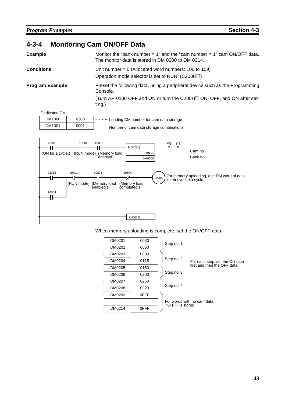# **4-3-4 Monitoring Cam ON/OFF Data**

| <b>Example</b>                      | Monitor the "bank number = $1$ " and the "cam number = $1$ " cam ON/OFF data.<br>The monitor data is stored in DM 0200 to DM 0214.                                      |  |  |  |  |
|-------------------------------------|-------------------------------------------------------------------------------------------------------------------------------------------------------------------------|--|--|--|--|
| <b>Conditions</b>                   | Unit number = $0$ (Allocated word numbers: 100 to 109)<br>Operation mode selector is set to RUN. (C200H□)                                                               |  |  |  |  |
| <b>Program Example</b>              | Preset the following data, using a peripheral device such as the Programming<br>Console.<br>(Turn AR 0100 OFF and ON or turn the C200H□ ON, OFF, and ON after set-      |  |  |  |  |
|                                     | ting.)                                                                                                                                                                  |  |  |  |  |
| <b>Dedicated DM</b>                 |                                                                                                                                                                         |  |  |  |  |
| DM1000<br>0200                      | Leading DM number for cam data storage                                                                                                                                  |  |  |  |  |
| DM1001<br>0001                      | Number of cam data storage combinations                                                                                                                                 |  |  |  |  |
| 25315<br>10801<br>(ON for 1 cycle.) | 10806<br>#01<br>01<br>MOV(21)<br>Cam no.<br>#0101<br>(RUN mode) (Memory load<br>enabled.)<br>Bank no.<br><b>DM0200</b>                                                  |  |  |  |  |
| 25315<br>10801<br>11<br>10004       | 10806<br>10804<br>For memory uploading, one DM word of data<br>is retrieved in a cycle.<br>10004<br>(RUN mode) (Memory load<br>(Memory load<br>completed.)<br>enabled.) |  |  |  |  |
|                                     | END(01)                                                                                                                                                                 |  |  |  |  |

When memory uploading is complete, set the ON/OFF data.

| DM0201 | 0030 | Step no. 1                                       |
|--------|------|--------------------------------------------------|
| DM0202 | 0050 |                                                  |
| DM0203 | 0080 |                                                  |
| DM0204 | 0115 | Step no. 2<br>For each step, set the ON data     |
| DM0205 | 0150 | first and then the OFF data.                     |
| DM0206 | 0200 | Step no. 3                                       |
| DM0207 | 0260 |                                                  |
| DM0208 | 0320 | Step no. 4                                       |
| DM0209 | 0FFF |                                                  |
|        | ÷    | For words with no cam data,<br>"OFFF" is stored. |
| DM0214 | 0FFF |                                                  |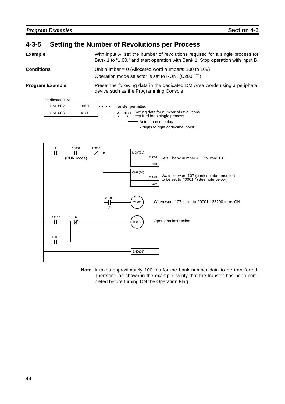## **4-3-5 Setting the Number of Revolutions per Process**

**Example** With input A, set the number of revolutions required for a single process for Bank 1 to "1.00," and start operation with Bank 1. Stop operation with input B.

**Conditions** Unit number = 0 (Allocated word numbers: 100 to 109) Operation mode selector is set to RUN.  $(C200H\Box)$ 

**Program Example** Preset the following data in the dedicated DM Area words using a peripheral device such as the Programming Console.



**Note** It takes approximately 100 ms for the bank number data to be transferred. Therefore, as shown in the example, verify that the transfer has been completed before turning ON the Operation Flag.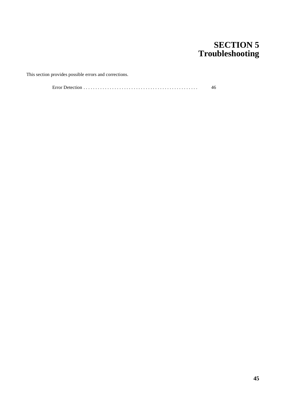# **SECTION 5 Troubleshooting**

This section provides possible errors and corrections.

Error Detection . . . . . . . . . . . . . . . . . . . . . . . . . . . . . . . . . . . . . . . . . . . . . . . . 46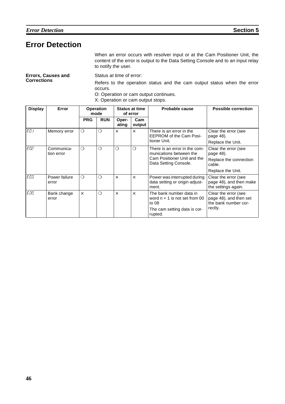# **Error Detection**

When an error occurs with resolver input or at the Cam Positioner Unit, the content of the error is output to the Data Setting Console and to an input relay to notify the user.

|                    | <b>Errors, Causes and</b> |  |
|--------------------|---------------------------|--|
| <b>Corrections</b> |                           |  |

Status at time of error:

Refers to the operation status and the cam output status when the error occurs.

O: Operation or cam output continues.

X: Operation or cam output stops.

| <b>Display</b> | Error                    | <b>Operation</b><br>mode<br>of error |            | <b>Status at time</b> |               |                                                                                                                  |                                                                        | Probable cause | <b>Possible correction</b> |
|----------------|--------------------------|--------------------------------------|------------|-----------------------|---------------|------------------------------------------------------------------------------------------------------------------|------------------------------------------------------------------------|----------------|----------------------------|
|                |                          | <b>PRG</b>                           | <b>RUN</b> | Oper-<br>ating        | Cam<br>output |                                                                                                                  |                                                                        |                |                            |
| ED I           | Memory error             | $\circ$                              | $\bigcirc$ | $\times$              | $\times$      | There is an error in the<br><b>EEPROM of the Cam Posi-</b>                                                       | Clear the error (see<br>page 48).                                      |                |                            |
|                |                          |                                      |            |                       |               | tioner Unit.                                                                                                     | Replace the Unit.                                                      |                |                            |
| ED2            | Communica-<br>tion error | $\Omega$                             | $\bigcirc$ | ◯                     | $\bigcirc$    | There is an error in the com-<br>munications between the<br>Cam Positioner Unit and the<br>Data Setting Console. | Clear the error (see<br>page 48).                                      |                |                            |
|                |                          |                                      |            |                       |               |                                                                                                                  | Replace the connection<br>cable.                                       |                |                            |
|                |                          |                                      |            |                       |               |                                                                                                                  | Replace the Unit.                                                      |                |                            |
| EO3            | Power failure<br>error   | $\Omega$                             | $\Omega$   | $\times$              | $\times$      | Power was interrupted during<br>data setting or origin adjust-<br>ment.                                          | Clear the error (see<br>page 48), and then make<br>the settings again. |                |                            |
| E20            | Bank change<br>error     | $\times$                             | $\bigcirc$ | $\times$              | $\times$      | The bank number data in<br>word $n + 1$ is not set from 00<br>to 08                                              | Clear the error (see<br>page 48), and then set<br>the bank number cor- |                |                            |
|                |                          |                                      |            |                       |               | The cam setting data is cor-<br>rupted.                                                                          | rectly.                                                                |                |                            |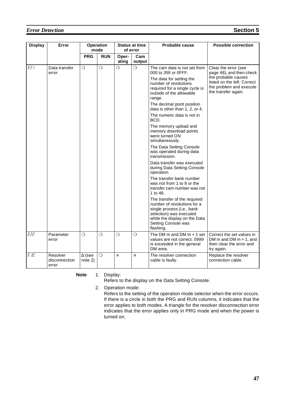## *Error Detection* **Section** 5

| <b>Display</b> | Error                              | Operation<br>mode        |                | <b>Status at time</b><br>of error |               |                                                                                                                                                                                           |                                                                                                      | Probable cause | <b>Possible correction</b> |
|----------------|------------------------------------|--------------------------|----------------|-----------------------------------|---------------|-------------------------------------------------------------------------------------------------------------------------------------------------------------------------------------------|------------------------------------------------------------------------------------------------------|----------------|----------------------------|
|                |                                    | <b>PRG</b>               | <b>RUN</b>     | Oper-<br>ating                    | Cam<br>output |                                                                                                                                                                                           |                                                                                                      |                |                            |
| E21            | Data transfer<br>error             | $\Omega$                 | $\overline{O}$ | $\overline{O}$                    | $\Omega$      | The cam data is not set from<br>000 to 359 or 0FFF.                                                                                                                                       | Clear the error (see<br>page 48), and then check                                                     |                |                            |
|                |                                    |                          |                |                                   |               | The data for setting the<br>number of revolutions<br>required for a single cycle is<br>outside of the allowable<br>range.                                                                 | the probable causes<br>listed on the left. Correct<br>the problem and execute<br>the transfer again. |                |                            |
|                |                                    |                          |                |                                   |               | The decimal point position<br>data is other than 1, 2, or 4.                                                                                                                              |                                                                                                      |                |                            |
|                |                                    |                          |                |                                   |               | The numeric data is not in<br>BCD.                                                                                                                                                        |                                                                                                      |                |                            |
|                |                                    |                          |                |                                   |               | The memory upload and<br>memory download points<br>were turned ON<br>simultaneously.                                                                                                      |                                                                                                      |                |                            |
|                |                                    |                          |                |                                   |               | The Data Setting Console<br>was operated during data<br>transmission.                                                                                                                     |                                                                                                      |                |                            |
|                |                                    |                          |                |                                   |               | Data transfer was executed<br>during Data Setting Console<br>operation.                                                                                                                   |                                                                                                      |                |                            |
|                |                                    |                          |                |                                   |               | The transfer bank number<br>was not from 1 to 8 or the<br>transfer cam number was not<br>1 to 48.                                                                                         |                                                                                                      |                |                            |
|                |                                    |                          |                |                                   |               | The transfer of the required<br>number of revolutions for a<br>single process (i.e., bank<br>selection) was executed<br>while the display on the Data<br>Setting Console was<br>flashing. |                                                                                                      |                |                            |
| E22            | Parameter<br>error                 | $\Omega$                 | $\Omega$       | $\overline{O}$                    | $\Omega$      | The DM $m$ and DM $m + 1$ set<br>values are not correct. 0999<br>is exceeded in the general<br>DM area.                                                                                   | Correct the set values in<br>DM m and DM $m + 1$ , and<br>then clear the error and<br>try again.     |                |                            |
| E ID           | Resolver<br>disconnection<br>error | $\Delta$ (see<br>note 2) | $\circ$        | $\times$                          | $\times$      | The resolver connection<br>cable is faulty.                                                                                                                                               | Replace the resolver<br>connection cable.                                                            |                |                            |

**Note** 1. Display:

Refers to the display on the Data Setting Console.

2. Operation mode:

Refers to the setting of the operation mode selector when the error occurs. If there is a circle in both the PRG and RUN columns, it indicates that the error applies to both modes. A triangle for the resolver disconnection error indicates that the error applies only in PRG mode and when the power is turned on.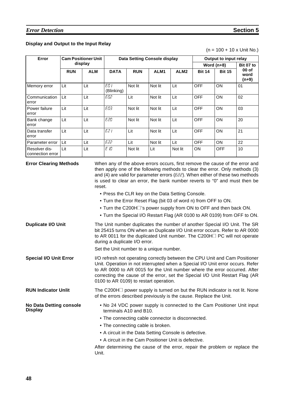## **Display and Output to the Input Relay**

 $(n = 100 + 10 \times$  Unit No.)

| <b>Cam Positioner Unit</b><br>Error |            |            |                    | <b>Data Setting Console display</b> | Output to input relay |                  |               |               |                                    |
|-------------------------------------|------------|------------|--------------------|-------------------------------------|-----------------------|------------------|---------------|---------------|------------------------------------|
|                                     | display    |            |                    |                                     |                       | Word $(n+8)$     |               | Bit 07 to     |                                    |
|                                     | <b>RUN</b> | <b>ALM</b> | <b>DATA</b>        | <b>RUN</b>                          | ALM <sub>1</sub>      | ALM <sub>2</sub> | <b>Bit 14</b> | <b>Bit 15</b> | 00 <sub>o</sub><br>word<br>$(n+9)$ |
| Memory error                        | Lit        | Lit        | ED I<br>(Blinking) | Not lit                             | Not lit               | Lit              | <b>OFF</b>    | ON            | 01                                 |
| Communication<br>error              | Lit        | Lit        | EO2                | Lit                                 | Not lit               | Lit              | <b>OFF</b>    | ON            | 02                                 |
| Power failure<br>error              | Lit        | Lit        | EО3                | Not lit                             | Not lit               | Lit              | <b>OFF</b>    | ON            | 03                                 |
| Bank change<br>error                | Lit        | Lit        | E20                | Not lit                             | Not lit               | Lit              | <b>OFF</b>    | ON            | 20                                 |
| Data transfer<br>error              | Lit        | Lit        | E2 I               | Lit                                 | Not lit               | Lit              | <b>OFF</b>    | ON            | 21                                 |
| Parameter error                     | Lit        | Lit        | E22.               | Lit                                 | Not lit               | Lit              | <b>OFF</b>    | ON            | 22                                 |
| Resolver dis-<br>connection error   | Lit        | Lit        | EЮ                 | Not lit                             | Lit                   | Not lit          | <b>ON</b>     | <b>OFF</b>    | 10                                 |

| <b>Error Clearing Methods</b>                    | When any of the above errors occurs, first remove the cause of the error and<br>then apply one of the following methods to clear the error. Only methods (3)<br>and (4) are valid for parameter errors ( $E22$ ). When either of these two methods<br>is used to clear an error, the bank number reverts to "0" and must then be<br>reset.                           |
|--------------------------------------------------|----------------------------------------------------------------------------------------------------------------------------------------------------------------------------------------------------------------------------------------------------------------------------------------------------------------------------------------------------------------------|
|                                                  | • Press the CLR key on the Data Setting Console.                                                                                                                                                                                                                                                                                                                     |
|                                                  | . Turn the Error Reset Flag (bit 03 of word n) from OFF to ON.                                                                                                                                                                                                                                                                                                       |
|                                                  | • Turn the C200H is power supply from ON to OFF and then back ON.                                                                                                                                                                                                                                                                                                    |
|                                                  | . Turn the Special I/O Restart Flag (AR 0100 to AR 0109) from OFF to ON.                                                                                                                                                                                                                                                                                             |
| <b>Duplicate I/O Unit</b>                        | The Unit number duplicates the number of another Special I/O Unit. The SR<br>bit 25415 turns ON when an Duplicate I/O Unit error occurs. Refer to AR 0000<br>to AR 0011 for the duplicated Unit number. The C200H <sup>1</sup> PC will not operate<br>during a duplicate I/O error.                                                                                  |
|                                                  | Set the Unit number to a unique number.                                                                                                                                                                                                                                                                                                                              |
| <b>Special I/O Unit Error</b>                    | I/O refresh not operating correctly between the CPU Unit and Cam Positioner<br>Unit. Operation in not interrupted when a Special I/O Unit error occurs. Refer<br>to AR 0000 to AR 0015 for the Unit number where the error occurred. After<br>correcting the cause of the error, set the Special I/O Unit Restart Flag (AR<br>0100 to AR 0109) to restart operation. |
| <b>RUN Indicator Unlit</b>                       | The C200H $\Box$ power supply is turned on but the RUN indicator is not lit. None<br>of the errors described previously is the cause. Replace the Unit.                                                                                                                                                                                                              |
| <b>No Data Detting console</b><br><b>Display</b> | . No 24 VDC power supply is connected to the Cam Positioner Unit input<br>terminals A10 and B10.                                                                                                                                                                                                                                                                     |
|                                                  | • The connecting cable connector is disconnected.                                                                                                                                                                                                                                                                                                                    |
|                                                  | • The connecting cable is broken.                                                                                                                                                                                                                                                                                                                                    |
|                                                  | • A circuit in the Data Setting Console is defective.                                                                                                                                                                                                                                                                                                                |
|                                                  | • A circuit in the Cam Positioner Unit is defective.                                                                                                                                                                                                                                                                                                                 |
|                                                  | After determining the cause of the error, repair the problem or replace the<br>Unit.                                                                                                                                                                                                                                                                                 |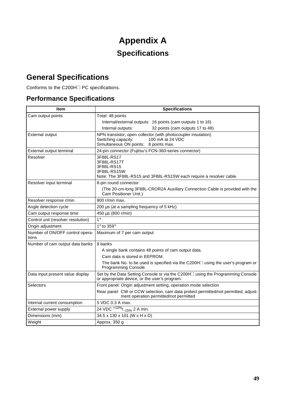# **Appendix A Specifications**

# **General Specifications**

Conforms to the C200H<sup> $\Box$ </sup> PC specifications.

# **Performance Specifications**

| <b>Item</b>                              | <b>Specifications</b>                                                                                                                             |
|------------------------------------------|---------------------------------------------------------------------------------------------------------------------------------------------------|
| Cam output points                        | Total: 48 points                                                                                                                                  |
|                                          | Internal/external outputs: 16 points (cam outputs 1 to 16)                                                                                        |
|                                          | 32 points (cam outputs 17 to 48)<br>Internal outputs:                                                                                             |
| <b>External output</b>                   | NPN transistor, open collector (with photocoupler insulation)<br>Switching capacity:<br>100 mA at 24 VDC<br>Simultaneous ON points: 8 points max. |
| External output terminal                 | 24-pin connector (Fujitsu's FCN-360-series connector)                                                                                             |
| Resolver                                 | 3F88L-RS17<br>3F88L-RS17T<br>3F88L-RS15<br>3F88L-RS15W<br>Note: The 3F88L-RS15 and 3F88L-RS15W each require a resolver cable.                     |
| Resolver input terminal                  | 8-pin round connector                                                                                                                             |
|                                          | (The 20-cm-long 3F88L-CROR2A Auxiliary Connection Cable is provided with the<br>Cam Positioner Unit.)                                             |
| Resolver response r/min                  | 800 r/min max.                                                                                                                                    |
| Angle detection cycle                    | 200 µs (at a sampling frequency of 5 kHz)                                                                                                         |
| Cam output response time                 | 450 μs (800 r/min)                                                                                                                                |
| Control unit (resolver resolution)       | $1^{\circ}$                                                                                                                                       |
| Origin adjustment                        | 1° to 359°                                                                                                                                        |
| Number of ON/OFF control opera-<br>tions | Maximum of 7 per cam output                                                                                                                       |
| Number of cam output data banks          | 8 banks                                                                                                                                           |
|                                          | A single bank contains 48 points of cam output data.                                                                                              |
|                                          | Cam data is stored in EEPROM.                                                                                                                     |
|                                          | The bank No. to be used is specified via the C200H $\Box$ using the user's program or<br>Programming Console.                                     |
| Data input present value display         | Set by the Data Setting Console or via the C200H□ using the Programming Console<br>or appropriate device, or the user's program.                  |
| Selectors                                | Front panel: Origin adjustment setting, operation mode selection                                                                                  |
|                                          | Rear panel: CW or CCW selection, cam data protect permitted/not permitted, adjust-<br>ment operation permitted/not permitted                      |
| Internal current consumption             | 5 VDC 0.3 A max.                                                                                                                                  |
| External power supply                    | 24 VDC $+10\%$ <sub>-15%</sub> 2 A min.                                                                                                           |
| Dimensions (mm)                          | 34.5 x 130 x 101 (W x H x D)                                                                                                                      |
| Weight                                   | Approx. 350 g                                                                                                                                     |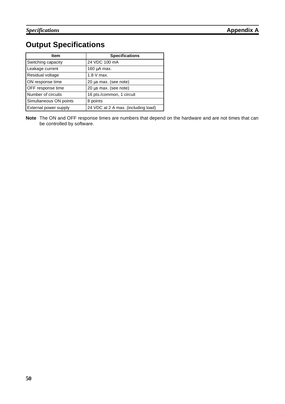# **Output Specifications**

| <b>Item</b>            | <b>Specifications</b>               |
|------------------------|-------------------------------------|
| Switching capacity     | 24 VDC 100 mA                       |
| Leakage current        | $160 \mu A$ max.                    |
| Residual voltage       | $1.8$ V max.                        |
| ON response time       | 20 µs max. (see note)               |
| OFF response time      | 20 µs max. (see note)               |
| Number of circuits     | 16 pts./common, 1 circuit           |
| Simultaneous ON points | 8 points                            |
| External power supply  | 24 VDC at 2 A max. (including load) |

**Note** The ON and OFF response times are numbers that depend on the hardware and are not times that can be controlled by software.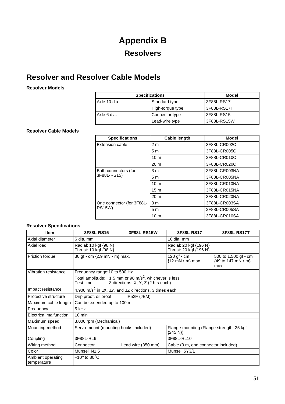# **Appendix B Resolvers**

# **Resolver and Resolver Cable Models**

**Resolver Models**

| <b>Specifications</b> | Model            |             |
|-----------------------|------------------|-------------|
| Axle 10 dia.          | Standard type    | 3F88L-RS17  |
|                       | High-torque type | 3F88L-RS17T |
| Axle 6 dia.           | Connector type   | 3F88L-RS15  |
|                       | Lead-wire type   | 3F88L-RS15W |

### **Resolver Cable Models**

| <b>Specifications</b>     | <b>Cable length</b> | <b>Model</b>  |
|---------------------------|---------------------|---------------|
| Extension cable           | 2 <sub>m</sub>      | 3F88L-CR002C  |
|                           | 5 <sub>m</sub>      | 3F88L-CR005C  |
|                           | 10 <sub>m</sub>     | 3F88L-CR010C  |
|                           | 20 <sub>m</sub>     | 3F88L-CR020C  |
| Both connectors (for      | 3 <sub>m</sub>      | 3F88L-CR003NA |
| 3F88L-RS15)               | 5 <sub>m</sub>      | 3F88L-CR005NA |
|                           | 10 <sub>m</sub>     | 3F88L-CR010NA |
|                           | 15 <sub>m</sub>     | 3F88L-CR015NA |
|                           | 20 <sub>m</sub>     | 3F88L-CR020NA |
| One connector (for 3F88L- | 3 <sub>m</sub>      | 3F88L-CR003SA |
| <b>RS15W)</b>             | 5 <sub>m</sub>      | 3F88L-CR005SA |
|                           | 10 <sub>m</sub>     | 3F88L-CR010SA |

#### **Resolver Specifications**

| <b>Item</b>                      | 3F88L-RS15                                                                       | 3F88L-RS15W                                                                        | 3F88L-RS17                                              | 3F88L-RS17T                                        |  |
|----------------------------------|----------------------------------------------------------------------------------|------------------------------------------------------------------------------------|---------------------------------------------------------|----------------------------------------------------|--|
| Axial diameter                   | 6 dia. mm                                                                        |                                                                                    | 10 dia. mm                                              |                                                    |  |
| Axial load                       | Radial: 10 kgf {98 N}<br>Thrust: 10 kgf {98 N}                                   |                                                                                    | Radial: 20 kgf {196 N}<br>Thrust: 20 kgf {196 N}        |                                                    |  |
| Friction torque                  | 30 gf • cm {2.9 mN • m} max.                                                     |                                                                                    | 120 gf • cm<br>${12}$ mN $\cdot$ m} max.                | 500 to 1,500 gf • cm<br>{49 to 147 mN • m}<br>max. |  |
| Vibration resistance             | Frequency range: 10 to 500 Hz                                                    |                                                                                    |                                                         |                                                    |  |
|                                  | Total amplitude: 1.5 mm or 98 m/s <sup>2</sup> , whichever is less<br>Test time: | 3 directions: X, Y, Z (2 hrs each)                                                 |                                                         |                                                    |  |
| Impact resistance                |                                                                                  | 4,900 m/s <sup>2</sup> in $\pm X$ , $\pm Y$ , and $\pm Z$ directions, 3 times each |                                                         |                                                    |  |
| Protective structure             | Drip proof, oil proof                                                            | IP52F (JEM)                                                                        |                                                         |                                                    |  |
| Maximum cable length             | Can be extended up to 100 m.                                                     |                                                                                    |                                                         |                                                    |  |
| Frequency                        | 5 kHz                                                                            |                                                                                    |                                                         |                                                    |  |
| Electrical malfunction           | $10 \text{ min}$                                                                 |                                                                                    |                                                         |                                                    |  |
| Maximum speed                    |                                                                                  | 3,000 rpm (Mechanical)                                                             |                                                         |                                                    |  |
| Mounting method                  | Servo-mount (mounting hooks included)                                            |                                                                                    | Flange-mounting (Flange strength: 25 kgf<br>$\{245 N\}$ |                                                    |  |
| Coupling                         | 3F88L-RL6                                                                        |                                                                                    | 3F88L-RL10                                              |                                                    |  |
| Wiring method                    | Connector                                                                        | Lead wire (350 mm)                                                                 | Cable (3 m, end connector included)                     |                                                    |  |
| Color                            | Munsell N1.5                                                                     |                                                                                    | Munsell 5Y3/1                                           |                                                    |  |
| Ambient operating<br>temperature | $-10^\circ$ to 80 $^\circ$ C                                                     |                                                                                    |                                                         |                                                    |  |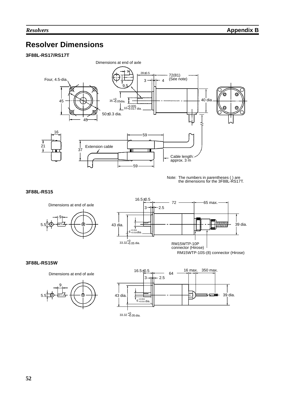# **Resolver Dimensions**

### **3F88L-RS17/RS17T**



Note: The numbers in parentheses ( ) are the dimensions for the 3F88L-RS17T.

#### **3F88L-RS15**



#### **3F88L-RS15W**

Dimensions at end of axle



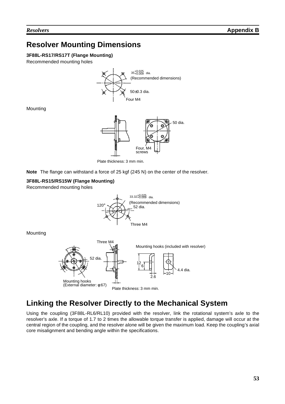# **Resolver Mounting Dimensions**

### **3F88L-RS17/RS17T (Flange Mounting)**

Recommended mounting holes



**Mounting** 



Plate thickness: 3 mm min.

**Note** The flange can withstand a force of 25 kgf (245 N) on the center of the resolver.

#### **3F88L-RS15/RS15W (Flange Mounting)**

Recommended mounting holes



Mounting



# **Linking the Resolver Directly to the Mechanical System**

Using the coupling (3F88L-RL6/RL10) provided with the resolver, link the rotational system's axle to the resolver's axle. If a torque of 1.7 to 2 times the allowable torque transfer is applied, damage will occur at the central region of the coupling, and the resolver alone will be given the maximum load. Keep the coupling's axial core misalignment and bending angle within the specifications.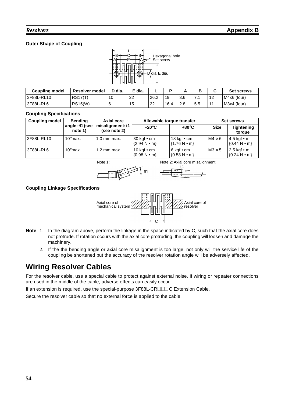### **Outer Shape of Coupling**



| <b>Coupling model</b> | Resolver model | ר dia.<br>- | ੮ dia. | -    |      |     |        |   | <b>Set screws</b> |
|-----------------------|----------------|-------------|--------|------|------|-----|--------|---|-------------------|
| 3F88L-RL10            | RS17(T)        | 10          | 22     | 26.2 | 19   | 3.6 | $\sim$ | L | M4x6 (four)       |
| 3F88L-RL6             | <b>RS15(W)</b> |             | 15     | 22   | 16.4 | 2.8 | 5.5    |   | M3x4 (four)       |

#### **Coupling Specifications**

| <b>Coupling model</b> | <b>Bending</b>                    | Axial core                       |                                           | Allowable torque transfer                               | <b>Set screws</b> |                                                    |
|-----------------------|-----------------------------------|----------------------------------|-------------------------------------------|---------------------------------------------------------|-------------------|----------------------------------------------------|
|                       | angle: $\theta$ 1 (see<br>note 1) | misalignment: t1<br>(see note 2) | $+20^{\circ}$ C                           | +80°C                                                   | <b>Size</b>       | <b>Tightening</b><br>torque                        |
| 3F88L-RL10            | 10 $\degree$ max.                 | $1.0$ mm max.                    | 30 kgf $\cdot$ cm<br>$\{2.94 N \cdot m\}$ | 18 kgf $\cdot$ cm<br>$\{1.76 N \cdot m\}$               | $M4 \times 6$     | 4.5 kgf • m<br>${0.44} N \cdot m$                  |
| 13F88L-RL6            | $10^{\circ}$ max.                 | $1.2$ mm max.                    | 10 kgf $\cdot$ cm<br>$\{0.98 N \cdot m\}$ | 6 kgf $\cdot$ cm<br>$\{0.58\ \text{N} \cdot \text{m}\}$ | $M3 \times 5$     | 2.5 kgf • m<br>$\{0.24 \text{ N} \cdot \text{m}\}$ |

Note 1:



Note 2: Axial core misalignment



#### **Coupling Linkage Specifications**



- **Note** 1. In the diagram above, perform the linkage in the space indicated by C, such that the axial core does not protrude. If rotation occurs with the axial core protruding, the coupling will loosen and damage the machinery.
	- 2. If the the bending angle or axial core misalignment is too large, not only will the service life of the coupling be shortened but the accuracy of the resolver rotation angle will be adversely affected.

# **Wiring Resolver Cables**

For the resolver cable, use a special cable to protect against external noise. If wiring or repeater connections are used in the middle of the cable, adverse effects can easily occur.

If an extension is required, use the special-purpose 3F88L-CRIIIC Extension Cable.

Secure the resolver cable so that no external force is applied to the cable.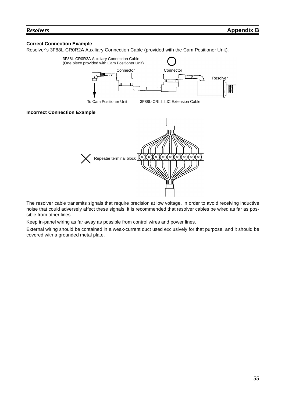#### **Correct Connection Example**

Resolver's 3F88L-CR0R2A Auxiliary Connection Cable (provided with the Cam Positioner Unit).



The resolver cable transmits signals that require precision at low voltage. In order to avoid receiving inductive noise that could adversely affect these signals, it is recommended that resolver cables be wired as far as possible from other lines.

Keep in-panel wiring as far away as possible from control wires and power lines.

External wiring should be contained in a weak-current duct used exclusively for that purpose, and it should be covered with a grounded metal plate.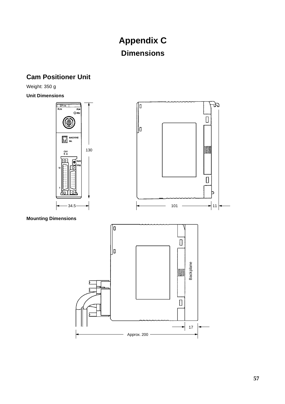# **Appendix C Dimensions**

# **Cam Positioner Unit**

Weight: 350 g

**Unit Dimensions**



Approx. 200

 $17$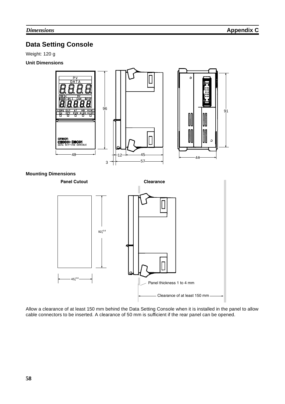## **Data Setting Console**

Weight: 120 g

### **Unit Dimensions**



Allow a clearance of at least 150 mm behind the Data Setting Console when it is installed in the panel to allow cable connectors to be inserted. A clearance of 50 mm is sufficient if the rear panel can be opened.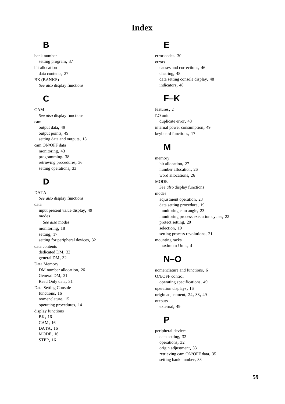# **Index**

# **B**

bank number setting program, 37 bit allocation data contents, 27 BK (BANKS) *See also* display functions

# **C**

CAM *See also* display functions cam output data, 49 output points, 49 setting data and outputs, 18 cam ON/OFF data monitoring, 43 programming, 38 retrieving procedures, 36 setting operations, 33

# **D**

DATA *See also* display functions data input present value display, 49 modes *See also* modes monitoring, 18 setting, 17 setting for peripheral devices, 32 data contents dedicated DM, 32 general DM, 32 Data Memory DM number allocation, 26 General DM, 31 Read Only data, 31 Data Setting Console functions, 16 nomenclature, 15 operating procedures, 14 display functions BK, 16 CAM, 16 DATA, 16 MODE, 16 STEP, 16

# **E**

error codes, 30 errors causes and corrections, 46 clearing, 48 data setting console display, 48 indicators, 48

# **F–K**

features, 2 I\O unit duplicate error, 48 internal power consumption, 49 keyboard functions, 17

# **M**

memory bit allocation, 27 number allocation, 26 word allocations, 26 MODE *See also* display functions modes adjustment operation, 23 data setting procedure, 19 monitoring cam angle, 23 monitoring process execution cycles, 22 protect setting, 20 selection, 19 setting process revolutions, 21 mounting racks maximum Units, 4

# **N–O**

nomenclature and functions, 6 ON/OFF control operating specifications, 49 operation displays, 16 origin adjustment, 24, 33, 49 outputs external, 49

## **P**

peripheral devices data setting, 32 operations, 32 origin adjustment, 33 retrieving cam ON/OFF data, 35 setting bank number, 33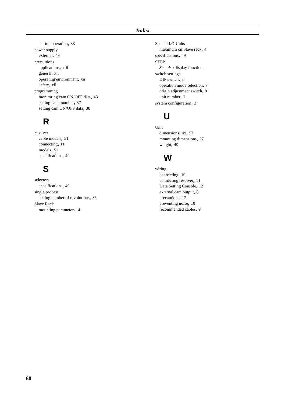#### *Index*

startup operation, 33 power supply external, 49 precautions applications, xiii general, xii operating environment, xii safety, xii programming monitoring cam ON/OFF data, 43 setting bank number, 37 setting cam ON/OFF data, 38

# **R**

resolver cable models, 51 connecting, 11 models, 51 specifications, 49

# **S**

selectors specifications, 49 single process setting number of revolutions, 36 Slave Rack mounting parameters, 4

Special I/O Units maximum on Slave rack, 4 specifications, 49 **STEP** *See also* display functions switch settings DIP switch, 8 operation mode selection, 7 origin adjustment switch, 8 unit number, 7 system configuration, 3

# **U**

Unit dimensions, 49, 57 mounting dimensions, 57 weight, 49

# **W**

wiring connecting, 10 connecting resolver, 11 Data Setting Console, 12 external cam output, 8 precautions, 12 preventing noise, 10 recommended cables, 9